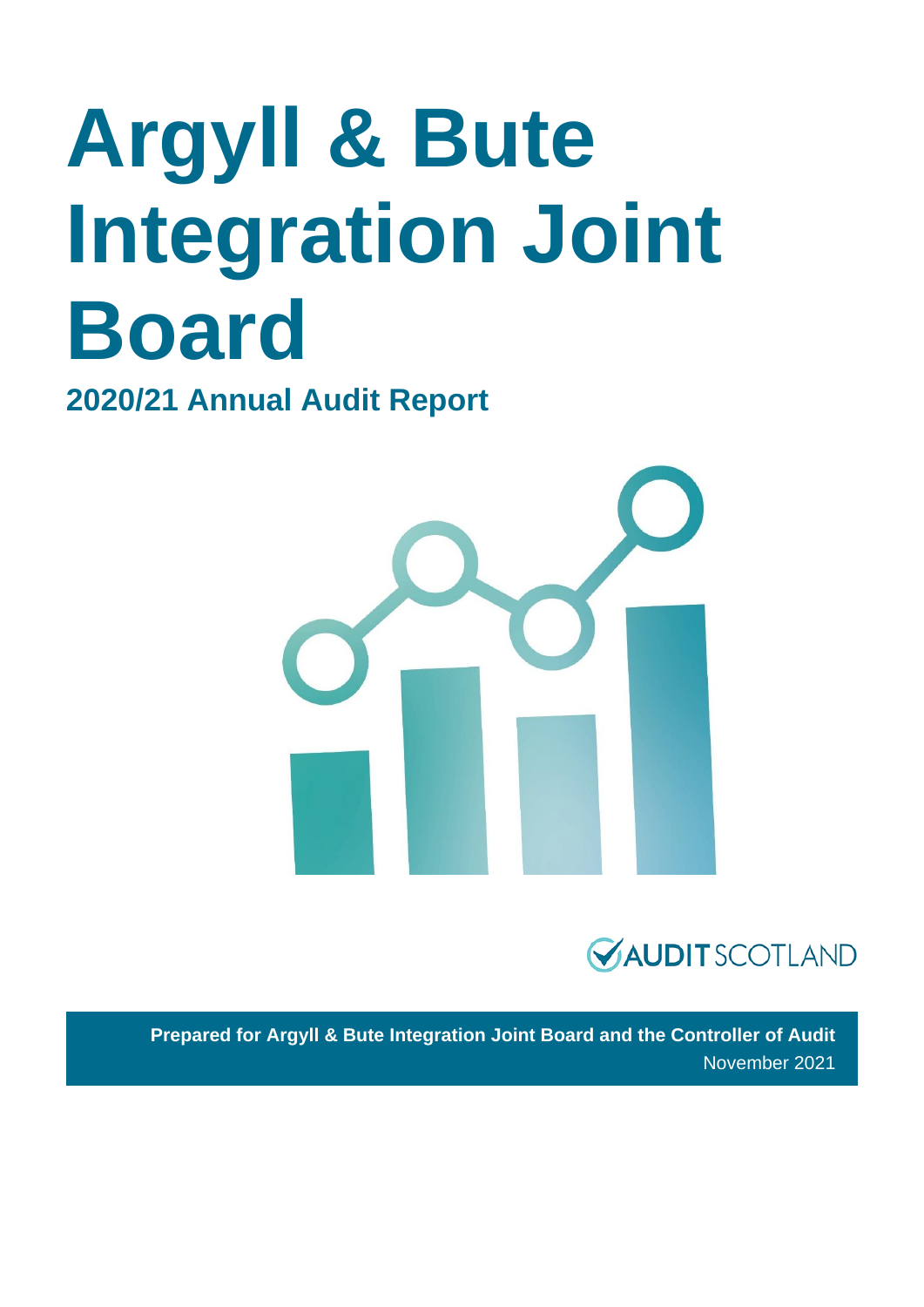# **Argyll & Bute Integration Joint Board**

**2020/21 Annual Audit Report**





**Prepared for Argyll & Bute Integration Joint Board and the Controller of Audit**  November 2021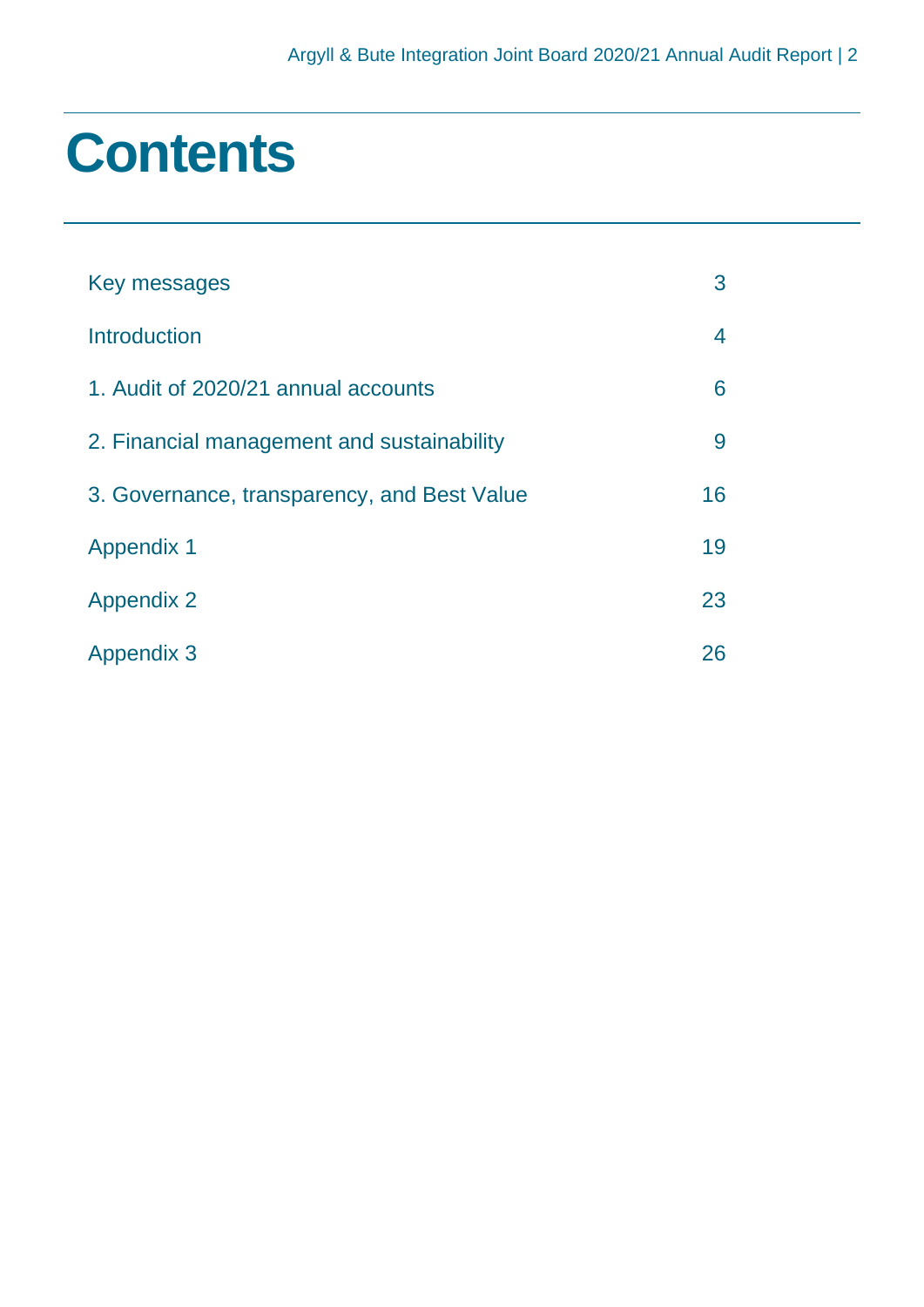### **Contents**

| Key messages                                | 3  |
|---------------------------------------------|----|
| Introduction                                | 4  |
| 1. Audit of 2020/21 annual accounts         | 6  |
| 2. Financial management and sustainability  | 9  |
| 3. Governance, transparency, and Best Value | 16 |
| <b>Appendix 1</b>                           | 19 |
| <b>Appendix 2</b>                           | 23 |
| <b>Appendix 3</b>                           | 26 |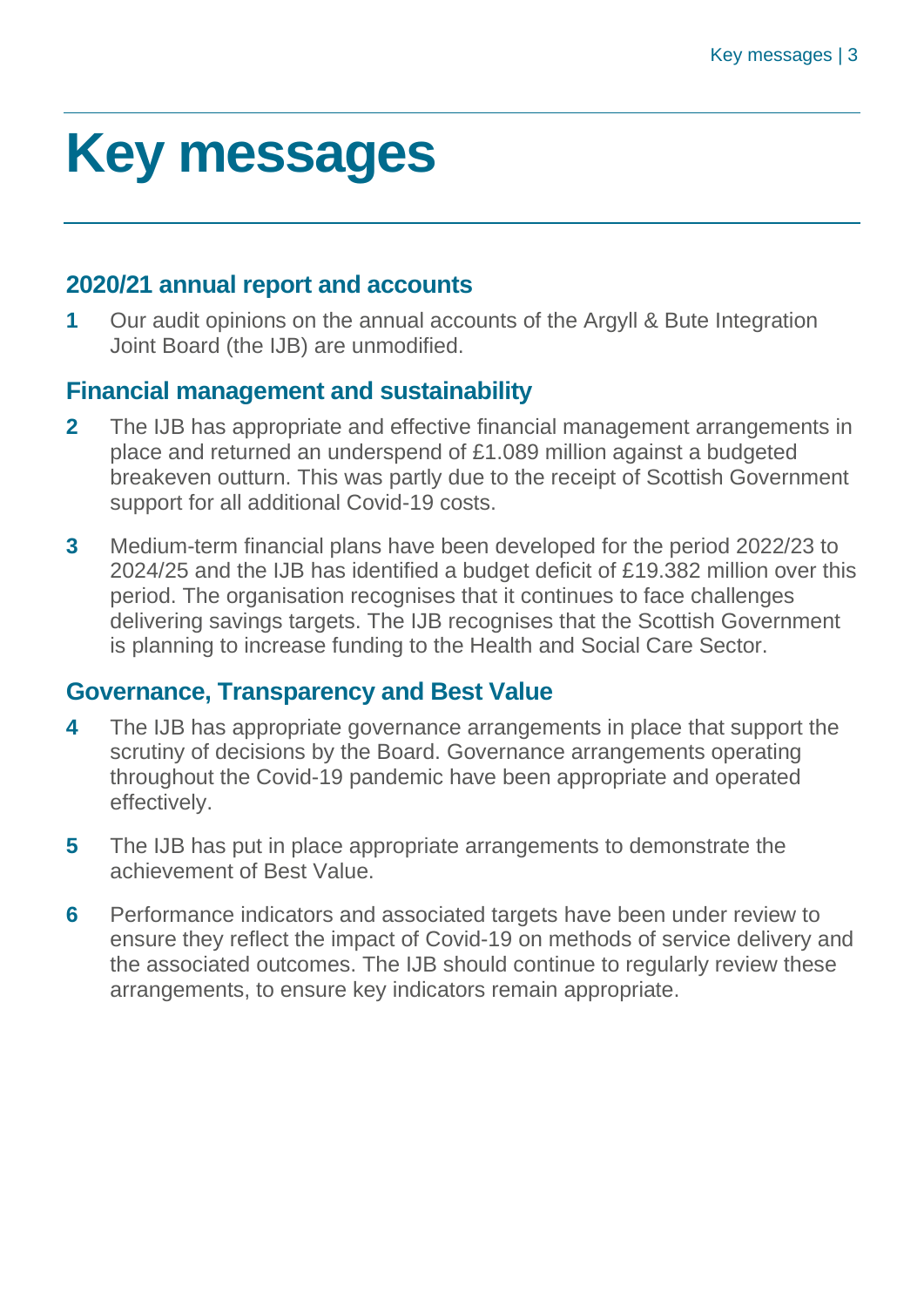### <span id="page-2-0"></span>**Key messages**

#### **2020/21 annual report and accounts**

**1** Our audit opinions on the annual accounts of the Argyll & Bute Integration Joint Board (the IJB) are unmodified.

#### **Financial management and sustainability**

- **2** The IJB has appropriate and effective financial management arrangements in place and returned an underspend of £1.089 million against a budgeted breakeven outturn. This was partly due to the receipt of Scottish Government support for all additional Covid-19 costs.
- **3** Medium-term financial plans have been developed for the period 2022/23 to 2024/25 and the IJB has identified a budget deficit of £19.382 million over this period. The organisation recognises that it continues to face challenges delivering savings targets. The IJB recognises that the Scottish Government is planning to increase funding to the Health and Social Care Sector.

#### **Governance, Transparency and Best Value**

- **4** The IJB has appropriate governance arrangements in place that support the scrutiny of decisions by the Board. Governance arrangements operating throughout the Covid-19 pandemic have been appropriate and operated effectively.
- **5** The IJB has put in place appropriate arrangements to demonstrate the achievement of Best Value.
- **6** Performance indicators and associated targets have been under review to ensure they reflect the impact of Covid-19 on methods of service delivery and the associated outcomes. The IJB should continue to regularly review these arrangements, to ensure key indicators remain appropriate.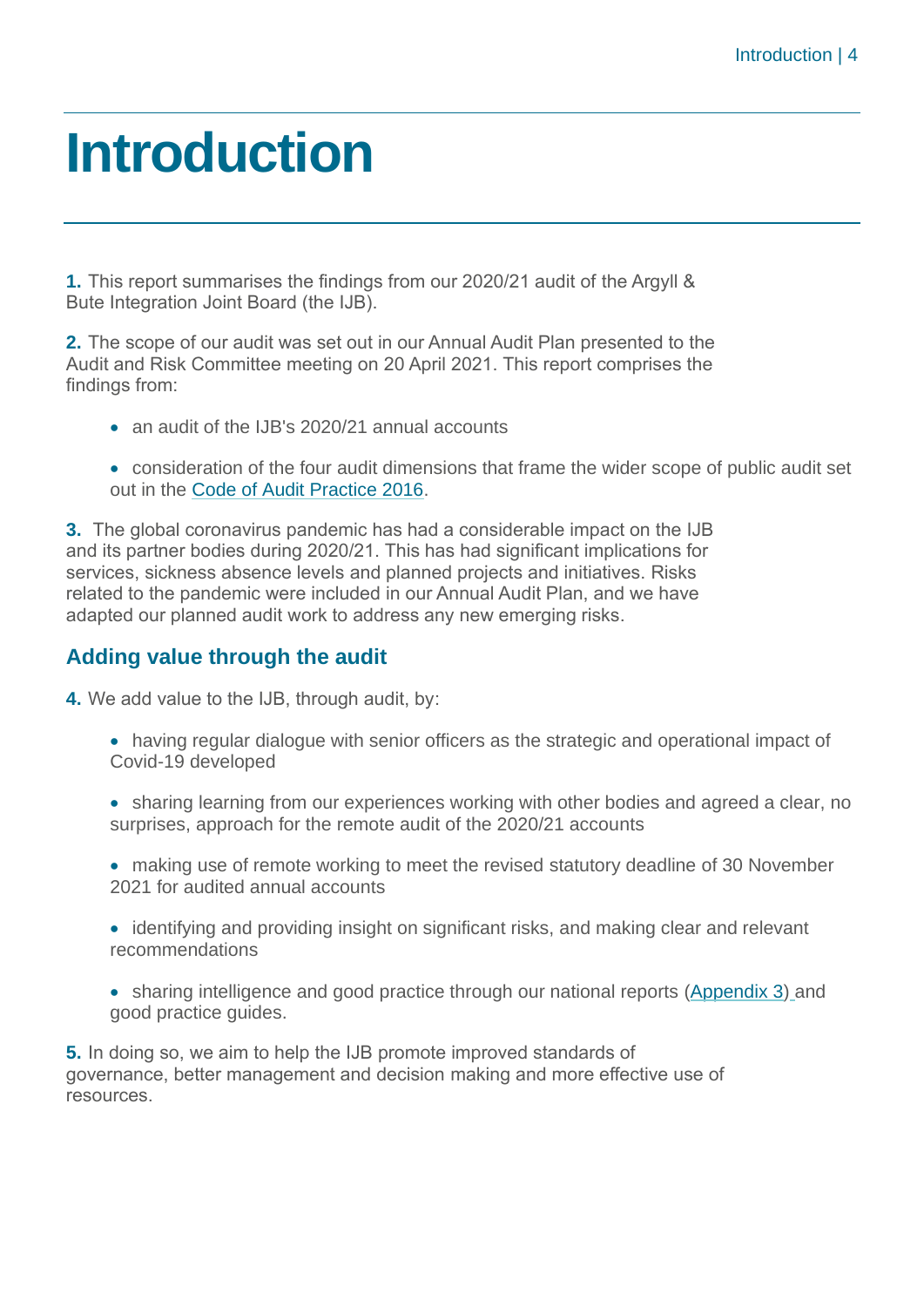### <span id="page-3-0"></span>**Introduction**

**1.** This report summarises the findings from our 2020/21 audit of the Argyll & Bute Integration Joint Board (the IJB).

**2.** The scope of our audit was set out in our Annual Audit Plan presented to the Audit and Risk Committee meeting on 20 April 2021. This report comprises the findings from:

- an audit of the IJB's 2020/21 annual accounts
- consideration of the four audit dimensions that frame the wider scope of public audit set out in the [Code of Audit Practice 2016.](http://www.audit-scotland.gov.uk/report/code-of-audit-practice-2016)

**3.** The global coronavirus pandemic has had a considerable impact on the IJB and its partner bodies during 2020/21. This has had significant implications for services, sickness absence levels and planned projects and initiatives. Risks related to the pandemic were included in our Annual Audit Plan, and we have adapted our planned audit work to address any new emerging risks.

#### **Adding value through the audit**

**4.** We add value to the IJB, through audit, by:

- having regular dialogue with senior officers as the strategic and operational impact of Covid-19 developed
- sharing learning from our experiences working with other bodies and agreed a clear, no surprises, approach for the remote audit of the 2020/21 accounts
- making use of remote working to meet the revised statutory deadline of 30 November 2021 for audited annual accounts
- identifying and providing insight on significant risks, and making clear and relevant recommendations
- sharing intelligence and good practice through our national reports [\(Appendix 3\)](#page-25-0) and good practice guides.

**5.** In doing so, we aim to help the IJB promote improved standards of governance, better management and decision making and more effective use of resources.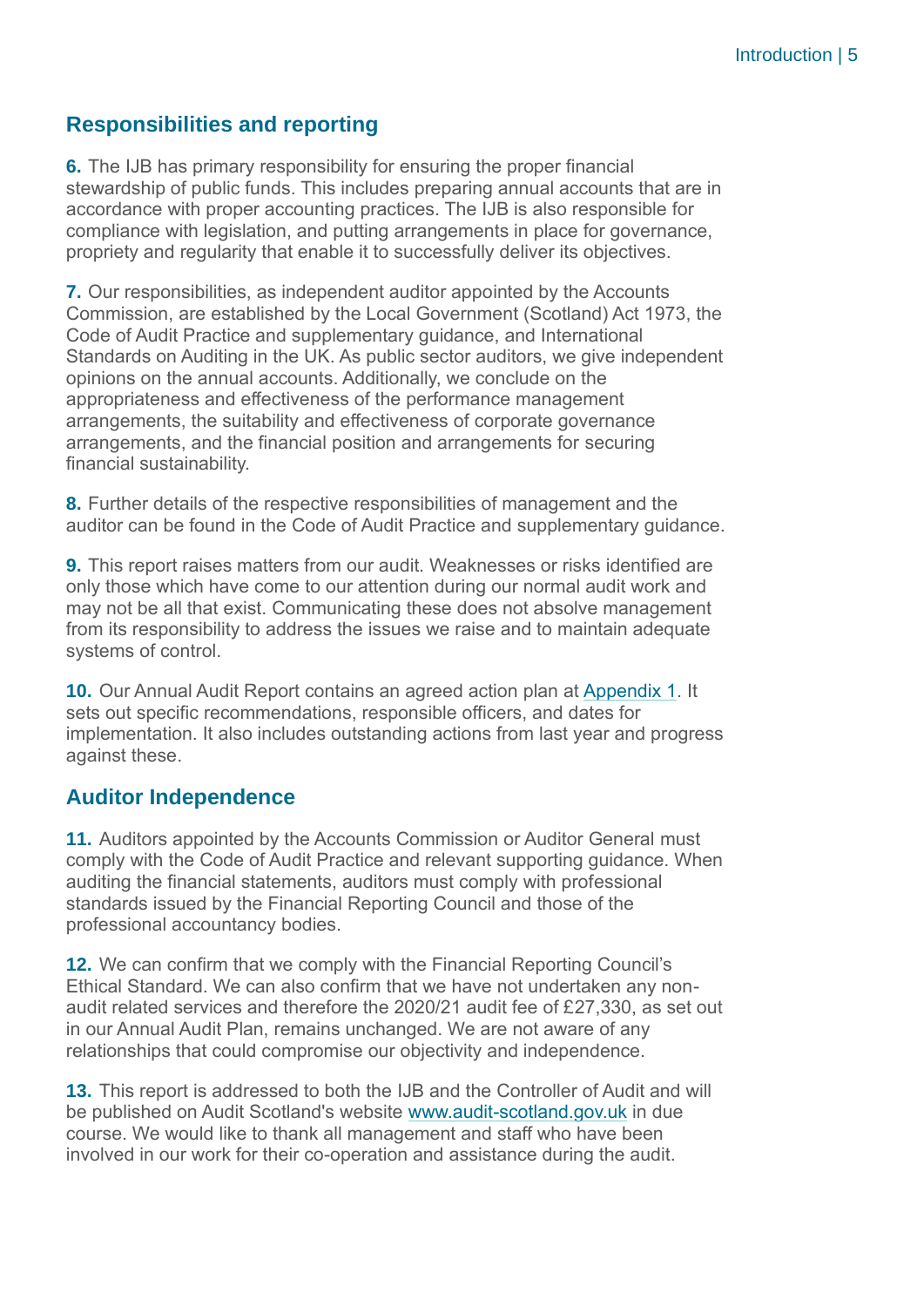#### **Responsibilities and reporting**

**6.** The IJB has primary responsibility for ensuring the proper financial stewardship of public funds. This includes preparing annual accounts that are in accordance with proper accounting practices. The IJB is also responsible for compliance with legislation, and putting arrangements in place for governance, propriety and regularity that enable it to successfully deliver its objectives.

**7.** Our responsibilities, as independent auditor appointed by the Accounts Commission, are established by the Local Government (Scotland) Act 1973, the Code of Audit Practice and supplementary guidance, and International Standards on Auditing in the UK. As public sector auditors, we give independent opinions on the annual accounts. Additionally, we conclude on the appropriateness and effectiveness of the performance management arrangements, the suitability and effectiveness of corporate governance arrangements, and the financial position and arrangements for securing financial sustainability.

**8.** Further details of the respective responsibilities of management and the auditor can be found in the Code of Audit Practice and supplementary guidance.

**9.** This report raises matters from our audit. Weaknesses or risks identified are only those which have come to our attention during our normal audit work and may not be all that exist. Communicating these does not absolve management from its responsibility to address the issues we raise and to maintain adequate systems of control.

**10.** Our Annual Audit Report contains an agreed action plan at [Appendix 1.](#page-18-0) It sets out specific recommendations, responsible officers, and dates for implementation. It also includes outstanding actions from last year and progress against these.

#### **Auditor Independence**

**11.** Auditors appointed by the Accounts Commission or Auditor General must comply with the Code of Audit Practice and relevant supporting guidance. When auditing the financial statements, auditors must comply with professional standards issued by the Financial Reporting Council and those of the professional accountancy bodies.

**12.** We can confirm that we comply with the Financial Reporting Council's Ethical Standard. We can also confirm that we have not undertaken any nonaudit related services and therefore the 2020/21 audit fee of £27,330, as set out in our Annual Audit Plan, remains unchanged. We are not aware of any relationships that could compromise our objectivity and independence.

**13.** This report is addressed to both the IJB and the Controller of Audit and will be published on Audit Scotland's website [www.audit-scotland.gov.uk](http://www.audit-scotland.gov.uk/) in due course. We would like to thank all management and staff who have been involved in our work for their co-operation and assistance during the audit.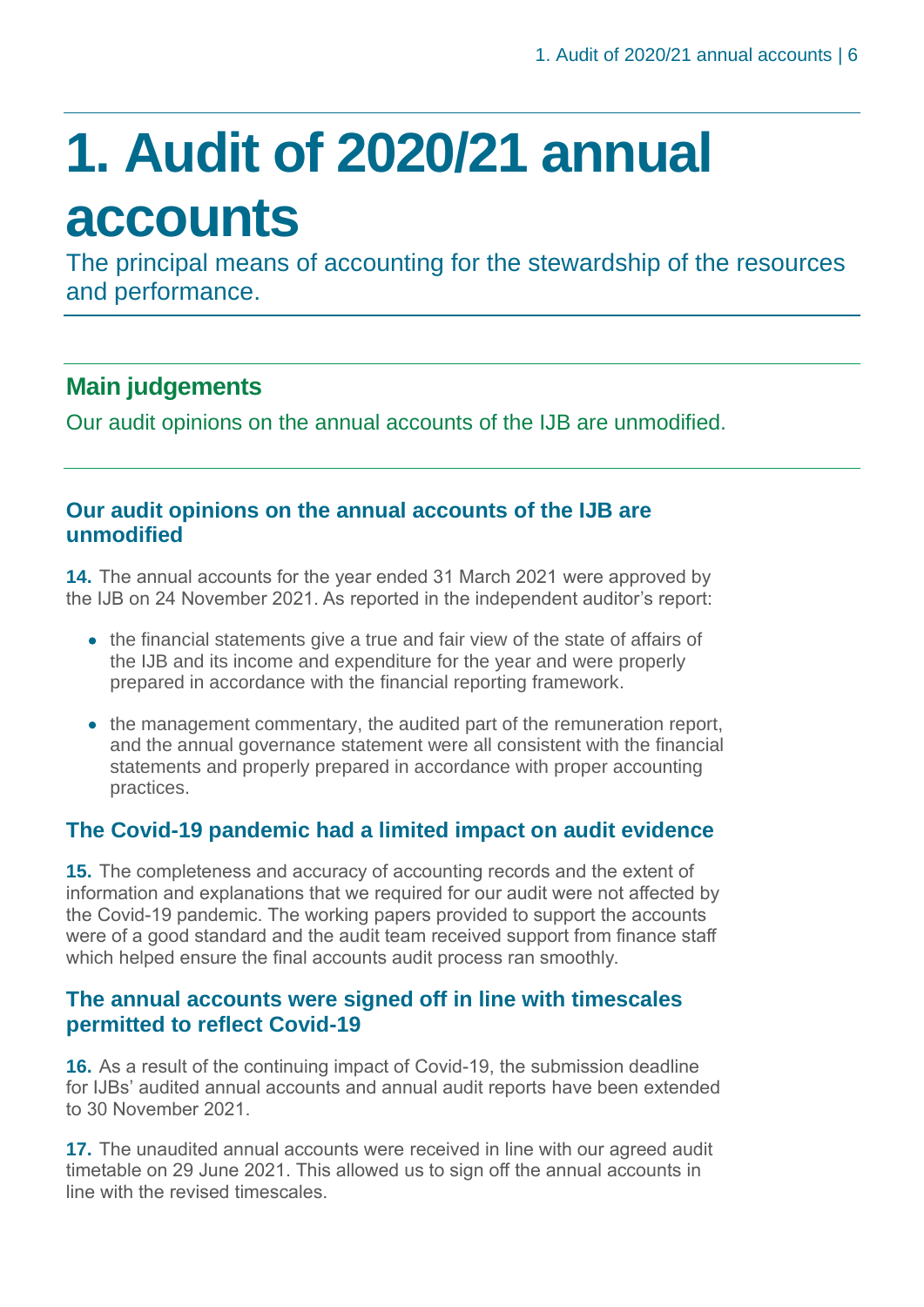## <span id="page-5-0"></span>**1. Audit of 2020/21 annual accounts**

The principal means of accounting for the stewardship of the resources and performance.

### **Main judgements**

Our audit opinions on the annual accounts of the IJB are unmodified.

#### **Our audit opinions on the annual accounts of the IJB are unmodified**

**14.** The annual accounts for the year ended 31 March 2021 were approved by the IJB on 24 November 2021. As reported in the independent auditor's report:

- the financial statements give a true and fair view of the state of affairs of the IJB and its income and expenditure for the year and were properly prepared in accordance with the financial reporting framework.
- the management commentary, the audited part of the remuneration report, and the annual governance statement were all consistent with the financial statements and properly prepared in accordance with proper accounting practices.

#### **The Covid-19 pandemic had a limited impact on audit evidence**

**15.** The completeness and accuracy of accounting records and the extent of information and explanations that we required for our audit were not affected by the Covid-19 pandemic. The working papers provided to support the accounts were of a good standard and the audit team received support from finance staff which helped ensure the final accounts audit process ran smoothly.

#### **The annual accounts were signed off in line with timescales permitted to reflect Covid-19**

**16.** As a result of the continuing impact of Covid-19, the submission deadline for IJBs' audited annual accounts and annual audit reports have been extended to 30 November 2021.

**17.** The unaudited annual accounts were received in line with our agreed audit timetable on 29 June 2021. This allowed us to sign off the annual accounts in line with the revised timescales.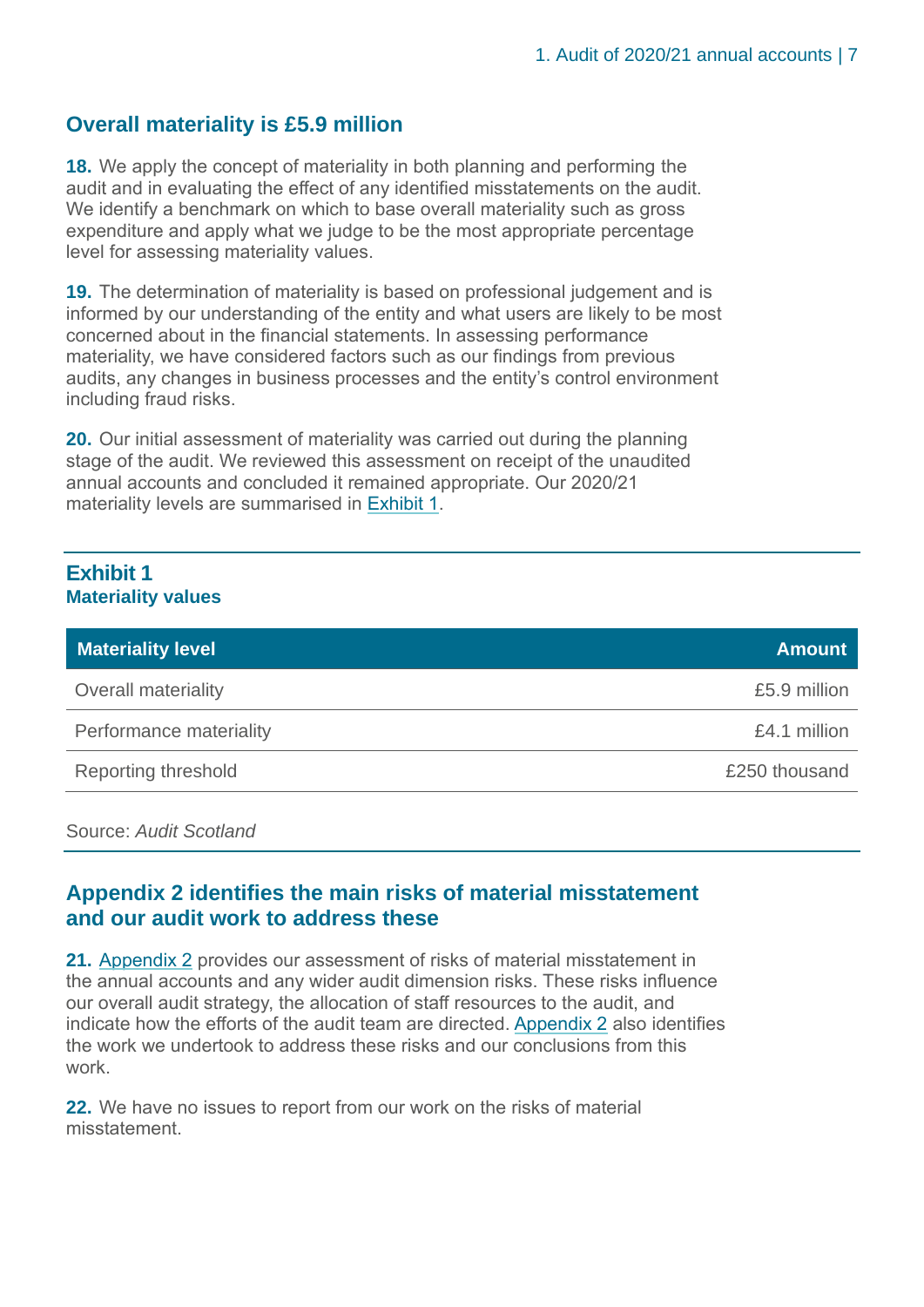#### **Overall materiality is £5.9 million**

**18.** We apply the concept of materiality in both planning and performing the audit and in evaluating the effect of any identified misstatements on the audit. We identify a benchmark on which to base overall materiality such as gross expenditure and apply what we judge to be the most appropriate percentage level for assessing materiality values.

**19.** The determination of materiality is based on professional judgement and is informed by our understanding of the entity and what users are likely to be most concerned about in the financial statements. In assessing performance materiality, we have considered factors such as our findings from previous audits, any changes in business processes and the entity's control environment including fraud risks.

**20.** Our initial assessment of materiality was carried out during the planning stage of the audit. We reviewed this assessment on receipt of the unaudited annual accounts and concluded it remained appropriate. Our 2020/21 materiality levels are summarised in [Exhibit 1.](#page-6-0)

#### <span id="page-6-0"></span>**Exhibit 1 Materiality values**

| <b>Materiality level</b> | <b>Amount</b> |
|--------------------------|---------------|
| Overall materiality      | £5.9 million  |
| Performance materiality  | £4.1 million  |
| Reporting threshold      | £250 thousand |

Source: *Audit Scotland*

#### **Appendix 2 identifies the main risks of material misstatement and our audit work to address these**

**21.** [Appendix 2](#page-22-0) provides our assessment of risks of material misstatement in the annual accounts and any wider audit dimension risks. These risks influence our overall audit strategy, the allocation of staff resources to the audit, and indicate how the efforts of the audit team are directed. [Appendix 2](#page-22-0) also identifies the work we undertook to address these risks and our conclusions from this work.

**22.** We have no issues to report from our work on the risks of material misstatement.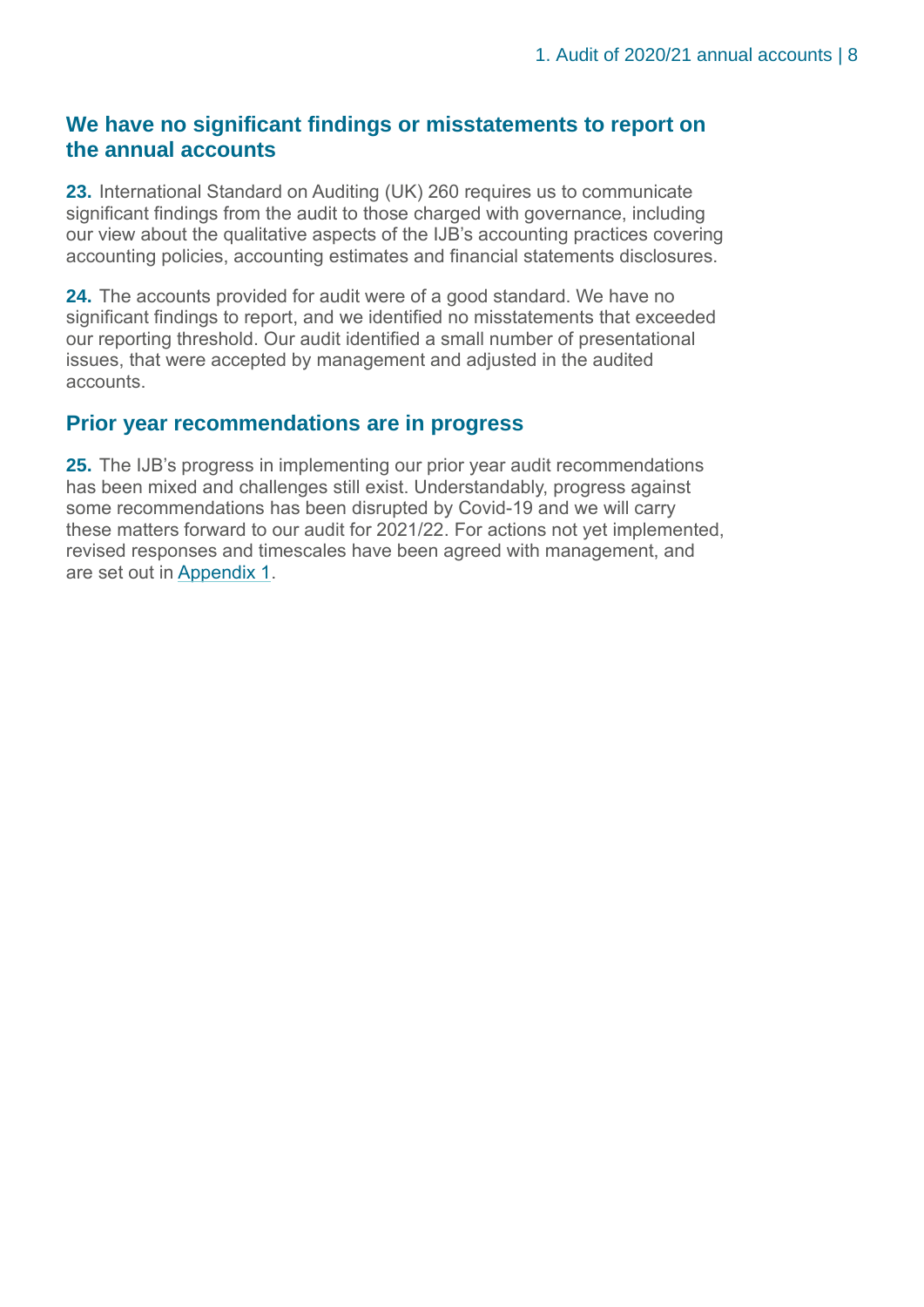#### **We have no significant findings or misstatements to report on the annual accounts**

**23.** International Standard on Auditing (UK) 260 requires us to communicate significant findings from the audit to those charged with governance, including our view about the qualitative aspects of the IJB's accounting practices covering accounting policies, accounting estimates and financial statements disclosures.

**24.** The accounts provided for audit were of a good standard. We have no significant findings to report, and we identified no misstatements that exceeded our reporting threshold. Our audit identified a small number of presentational issues, that were accepted by management and adjusted in the audited accounts.

#### **Prior year recommendations are in progress**

**25.** The IJB's progress in implementing our prior year audit recommendations has been mixed and challenges still exist. Understandably, progress against some recommendations has been disrupted by Covid-19 and we will carry these matters forward to our audit for 2021/22. For actions not yet implemented, revised responses and timescales have been agreed with management, and are set out in [Appendix 1.](#page-18-0)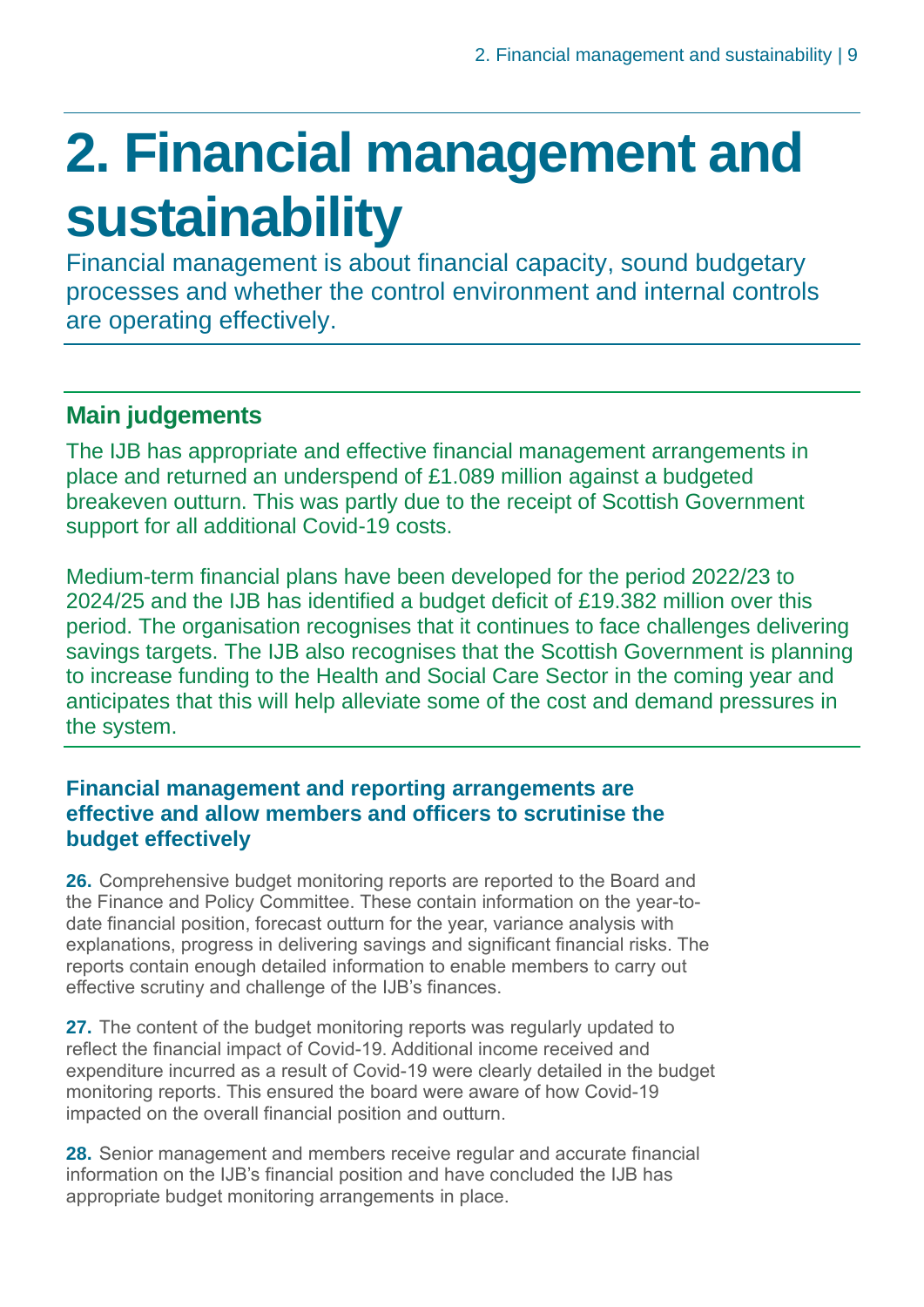### <span id="page-8-0"></span>**2. Financial management and sustainability**

Financial management is about financial capacity, sound budgetary processes and whether the control environment and internal controls are operating effectively.

### **Main judgements**

The IJB has appropriate and effective financial management arrangements in place and returned an underspend of £1.089 million against a budgeted breakeven outturn. This was partly due to the receipt of Scottish Government support for all additional Covid-19 costs.

Medium-term financial plans have been developed for the period 2022/23 to 2024/25 and the IJB has identified a budget deficit of £19.382 million over this period. The organisation recognises that it continues to face challenges delivering savings targets. The IJB also recognises that the Scottish Government is planning to increase funding to the Health and Social Care Sector in the coming year and anticipates that this will help alleviate some of the cost and demand pressures in the system.

#### **Financial management and reporting arrangements are effective and allow members and officers to scrutinise the budget effectively**

**26.** Comprehensive budget monitoring reports are reported to the Board and the Finance and Policy Committee. These contain information on the year-todate financial position, forecast outturn for the year, variance analysis with explanations, progress in delivering savings and significant financial risks. The reports contain enough detailed information to enable members to carry out effective scrutiny and challenge of the IJB's finances.

**27.** The content of the budget monitoring reports was regularly updated to reflect the financial impact of Covid-19. Additional income received and expenditure incurred as a result of Covid-19 were clearly detailed in the budget monitoring reports. This ensured the board were aware of how Covid-19 impacted on the overall financial position and outturn.

**28.** Senior management and members receive regular and accurate financial information on the IJB's financial position and have concluded the IJB has appropriate budget monitoring arrangements in place.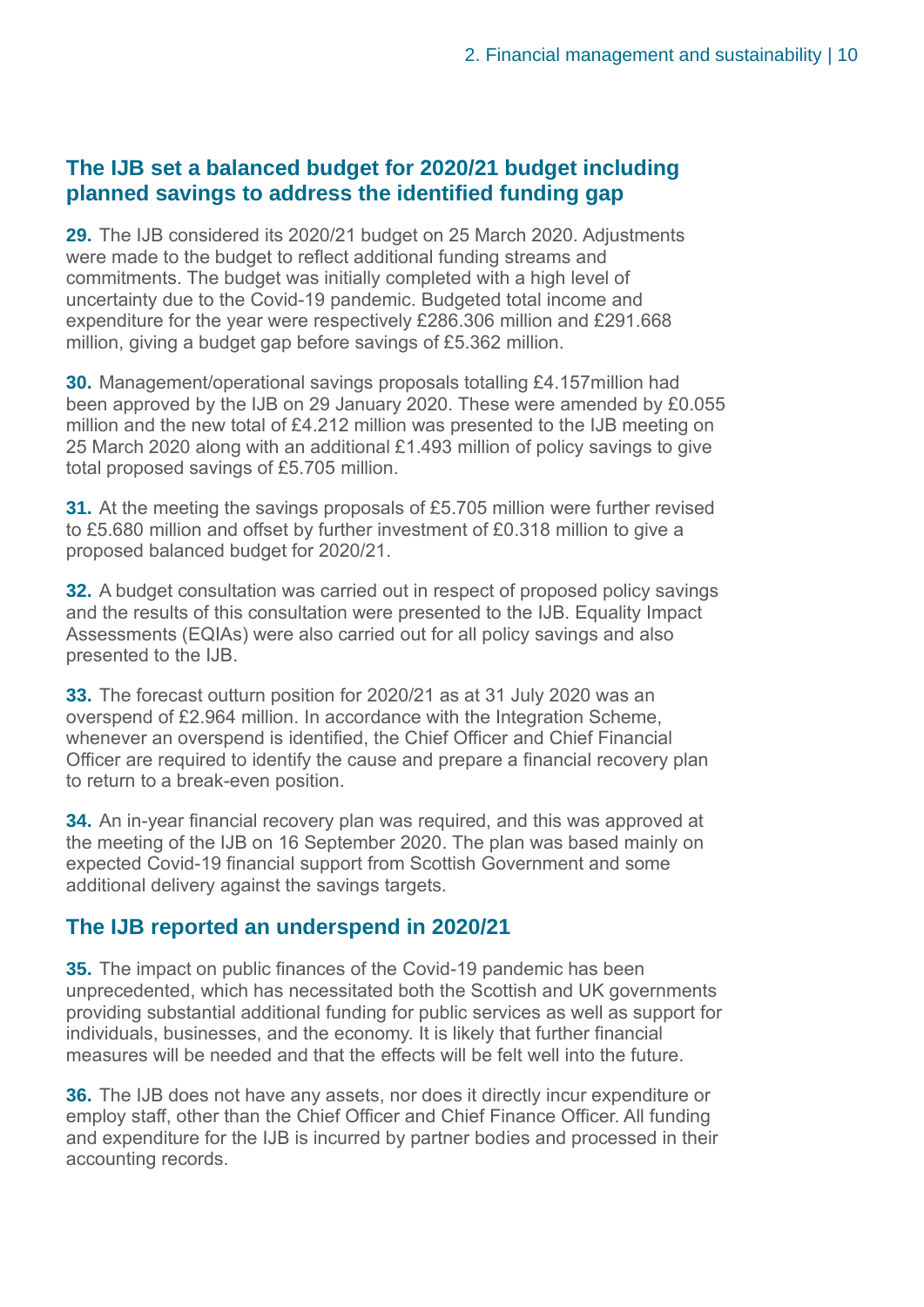#### **The IJB set a balanced budget for 2020/21 budget including planned savings to address the identified funding gap**

**29.** The IJB considered its 2020/21 budget on 25 March 2020. Adjustments were made to the budget to reflect additional funding streams and commitments. The budget was initially completed with a high level of uncertainty due to the Covid-19 pandemic. Budgeted total income and expenditure for the year were respectively £286.306 million and £291.668 million, giving a budget gap before savings of £5.362 million.

**30.** Management/operational savings proposals totalling £4.157million had been approved by the IJB on 29 January 2020. These were amended by £0.055 million and the new total of £4.212 million was presented to the IJB meeting on 25 March 2020 along with an additional £1.493 million of policy savings to give total proposed savings of £5.705 million.

**31.** At the meeting the savings proposals of £5.705 million were further revised to £5.680 million and offset by further investment of £0.318 million to give a proposed balanced budget for 2020/21.

**32.** A budget consultation was carried out in respect of proposed policy savings and the results of this consultation were presented to the IJB. Equality Impact Assessments (EQIAs) were also carried out for all policy savings and also presented to the IJB.

**33.** The forecast outturn position for 2020/21 as at 31 July 2020 was an overspend of £2.964 million. In accordance with the Integration Scheme, whenever an overspend is identified, the Chief Officer and Chief Financial Officer are required to identify the cause and prepare a financial recovery plan to return to a break-even position.

**34.** An in-year financial recovery plan was required, and this was approved at the meeting of the IJB on 16 September 2020. The plan was based mainly on expected Covid-19 financial support from Scottish Government and some additional delivery against the savings targets.

#### **The IJB reported an underspend in 2020/21**

**35.** The impact on public finances of the Covid-19 pandemic has been unprecedented, which has necessitated both the Scottish and UK governments providing substantial additional funding for public services as well as support for individuals, businesses, and the economy. It is likely that further financial measures will be needed and that the effects will be felt well into the future.

**36.** The IJB does not have any assets, nor does it directly incur expenditure or employ staff, other than the Chief Officer and Chief Finance Officer. All funding and expenditure for the IJB is incurred by partner bodies and processed in their accounting records.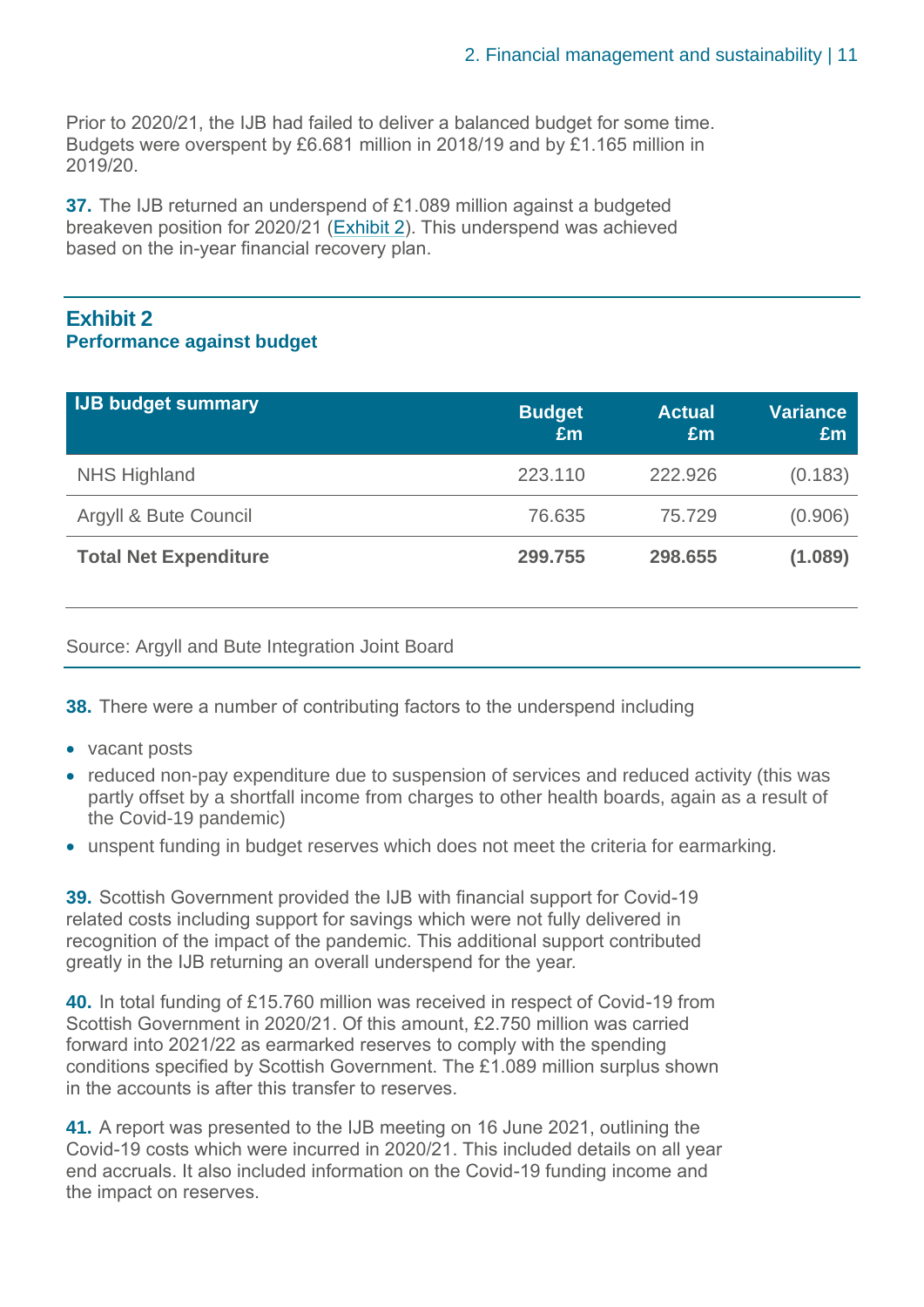Prior to 2020/21, the IJB had failed to deliver a balanced budget for some time. Budgets were overspent by £6.681 million in 2018/19 and by £1.165 million in 2019/20.

**37.** The IJB returned an underspend of £1.089 million against a budgeted breakeven position for 2020/21 [\(Exhibit 2\)](#page-10-0). This underspend was achieved based on the in-year financial recovery plan.

#### <span id="page-10-0"></span>**Exhibit 2 Performance against budget**

| <b>IJB budget summary</b>    | <b>Budget</b><br>£m | <b>Actual</b><br>£m | <b>Variance</b><br>£m |
|------------------------------|---------------------|---------------------|-----------------------|
| NHS Highland                 | 223.110             | 222.926             | (0.183)               |
| Argyll & Bute Council        | 76.635              | 75.729              | (0.906)               |
| <b>Total Net Expenditure</b> | 299.755             | 298.655             | (1.089)               |

Source: Argyll and Bute Integration Joint Board

**38.** There were a number of contributing factors to the underspend including

- vacant posts
- reduced non-pay expenditure due to suspension of services and reduced activity (this was partly offset by a shortfall income from charges to other health boards, again as a result of the Covid-19 pandemic)
- unspent funding in budget reserves which does not meet the criteria for earmarking.

**39.** Scottish Government provided the IJB with financial support for Covid-19 related costs including support for savings which were not fully delivered in recognition of the impact of the pandemic. This additional support contributed greatly in the IJB returning an overall underspend for the year.

**40.** In total funding of £15.760 million was received in respect of Covid-19 from Scottish Government in 2020/21. Of this amount, £2.750 million was carried forward into 2021/22 as earmarked reserves to comply with the spending conditions specified by Scottish Government. The £1.089 million surplus shown in the accounts is after this transfer to reserves.

**41.** A report was presented to the IJB meeting on 16 June 2021, outlining the Covid-19 costs which were incurred in 2020/21. This included details on all year end accruals. It also included information on the Covid-19 funding income and the impact on reserves.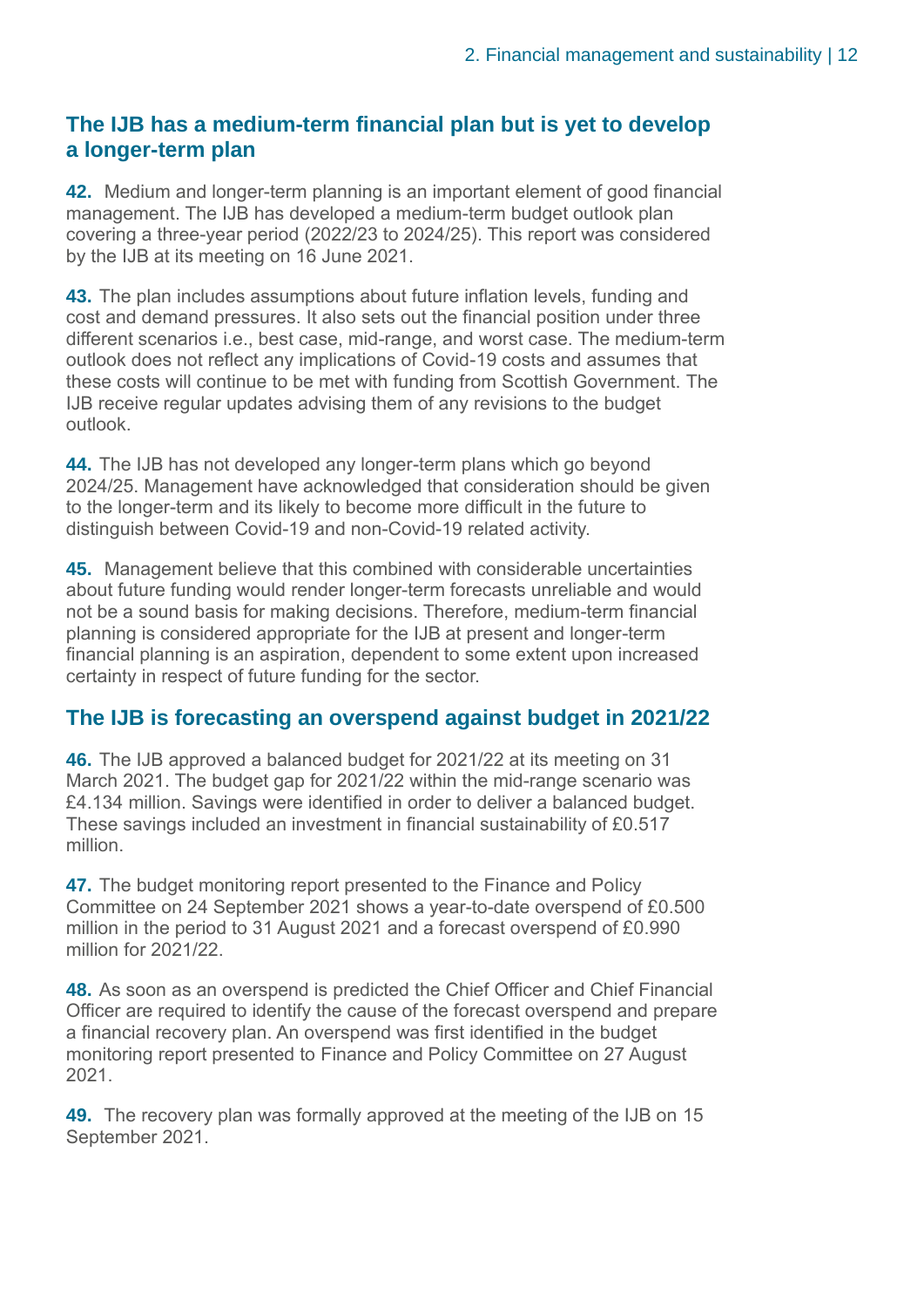#### **The IJB has a medium-term financial plan but is yet to develop a longer-term plan**

**42.** Medium and longer-term planning is an important element of good financial management. The IJB has developed a medium-term budget outlook plan covering a three-year period (2022/23 to 2024/25). This report was considered by the IJB at its meeting on 16 June 2021.

**43.** The plan includes assumptions about future inflation levels, funding and cost and demand pressures. It also sets out the financial position under three different scenarios i.e., best case, mid-range, and worst case. The medium-term outlook does not reflect any implications of Covid-19 costs and assumes that these costs will continue to be met with funding from Scottish Government. The IJB receive regular updates advising them of any revisions to the budget outlook.

**44.** The IJB has not developed any longer-term plans which go beyond 2024/25. Management have acknowledged that consideration should be given to the longer-term and its likely to become more difficult in the future to distinguish between Covid-19 and non-Covid-19 related activity.

**45.** Management believe that this combined with considerable uncertainties about future funding would render longer-term forecasts unreliable and would not be a sound basis for making decisions. Therefore, medium-term financial planning is considered appropriate for the IJB at present and longer-term financial planning is an aspiration, dependent to some extent upon increased certainty in respect of future funding for the sector.

#### **The IJB is forecasting an overspend against budget in 2021/22**

**46.** The IJB approved a balanced budget for 2021/22 at its meeting on 31 March 2021. The budget gap for 2021/22 within the mid-range scenario was £4.134 million. Savings were identified in order to deliver a balanced budget. These savings included an investment in financial sustainability of £0.517 million.

**47.** The budget monitoring report presented to the Finance and Policy Committee on 24 September 2021 shows a year-to-date overspend of £0.500 million in the period to 31 August 2021 and a forecast overspend of £0.990 million for 2021/22.

**48.** As soon as an overspend is predicted the Chief Officer and Chief Financial Officer are required to identify the cause of the forecast overspend and prepare a financial recovery plan. An overspend was first identified in the budget monitoring report presented to Finance and Policy Committee on 27 August 2021.

**49.** The recovery plan was formally approved at the meeting of the IJB on 15 September 2021.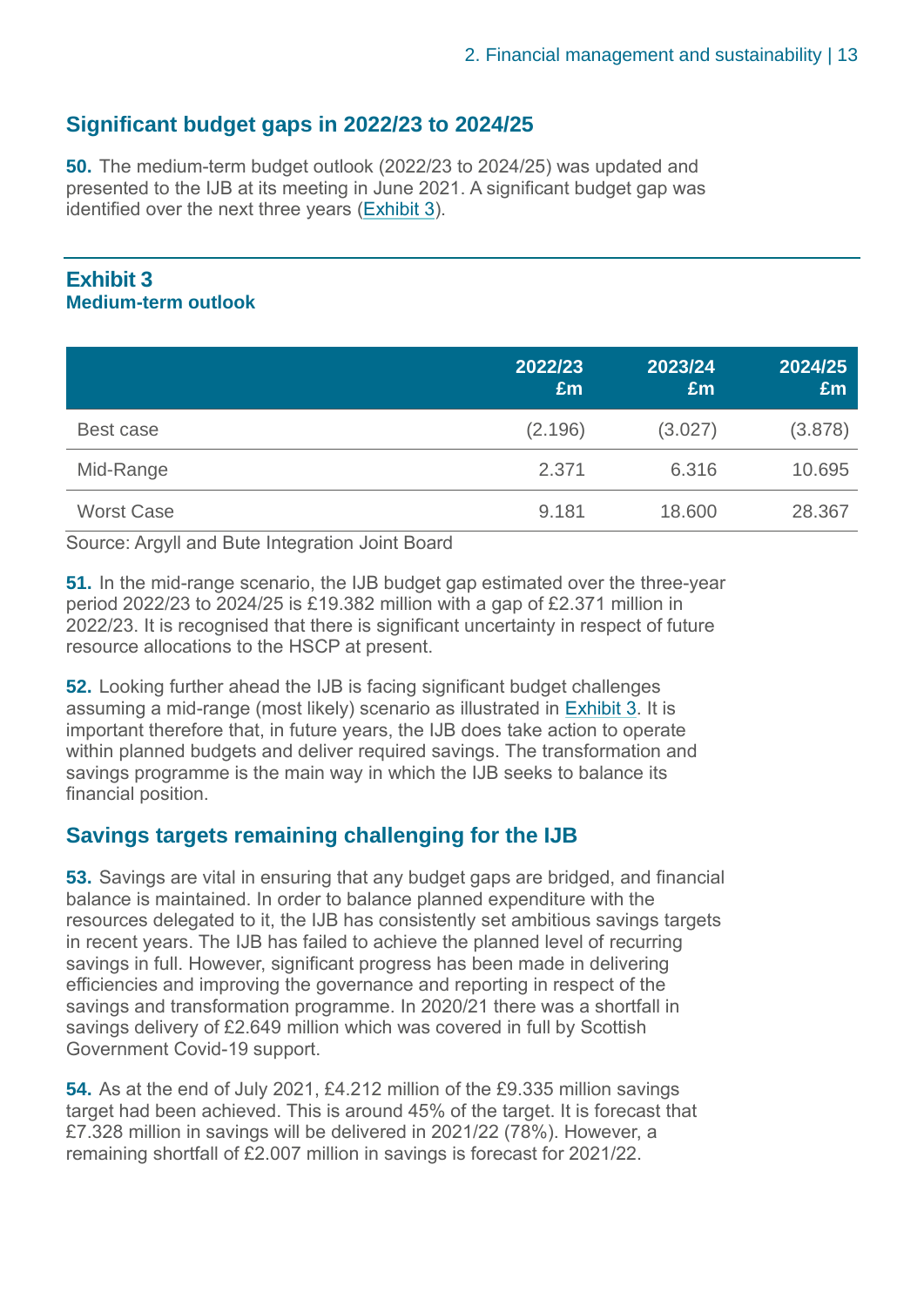#### **Significant budget gaps in 2022/23 to 2024/25**

**50.** The medium-term budget outlook (2022/23 to 2024/25) was updated and presented to the IJB at its meeting in June 2021. A significant budget gap was identified over the next three years [\(Exhibit 3\)](#page-12-0).

#### <span id="page-12-0"></span>**Exhibit 3 Medium-term outlook**

|                   | 2022/23<br>£m | 2023/24<br>£m | 2024/25<br>£m |
|-------------------|---------------|---------------|---------------|
| Best case         | (2.196)       | (3.027)       | (3.878)       |
| Mid-Range         | 2.371         | 6.316         | 10.695        |
| <b>Worst Case</b> | 9.181         | 18.600        | 28.367        |

Source: Argyll and Bute Integration Joint Board

**51.** In the mid-range scenario, the IJB budget gap estimated over the three-year period 2022/23 to 2024/25 is £19.382 million with a gap of £2.371 million in 2022/23. It is recognised that there is significant uncertainty in respect of future resource allocations to the HSCP at present.

**52.** Looking further ahead the IJB is facing significant budget challenges assuming a mid-range (most likely) scenario as illustrated in [Exhibit 3.](#page-12-0) It is important therefore that, in future years, the IJB does take action to operate within planned budgets and deliver required savings. The transformation and savings programme is the main way in which the IJB seeks to balance its financial position.

#### **Savings targets remaining challenging for the IJB**

**53.** Savings are vital in ensuring that any budget gaps are bridged, and financial balance is maintained. In order to balance planned expenditure with the resources delegated to it, the IJB has consistently set ambitious savings targets in recent years. The IJB has failed to achieve the planned level of recurring savings in full. However, significant progress has been made in delivering efficiencies and improving the governance and reporting in respect of the savings and transformation programme. In 2020/21 there was a shortfall in savings delivery of £2.649 million which was covered in full by Scottish Government Covid-19 support.

**54.** As at the end of July 2021, £4.212 million of the £9.335 million savings target had been achieved. This is around 45% of the target. It is forecast that £7.328 million in savings will be delivered in 2021/22 (78%). However, a remaining shortfall of £2.007 million in savings is forecast for 2021/22.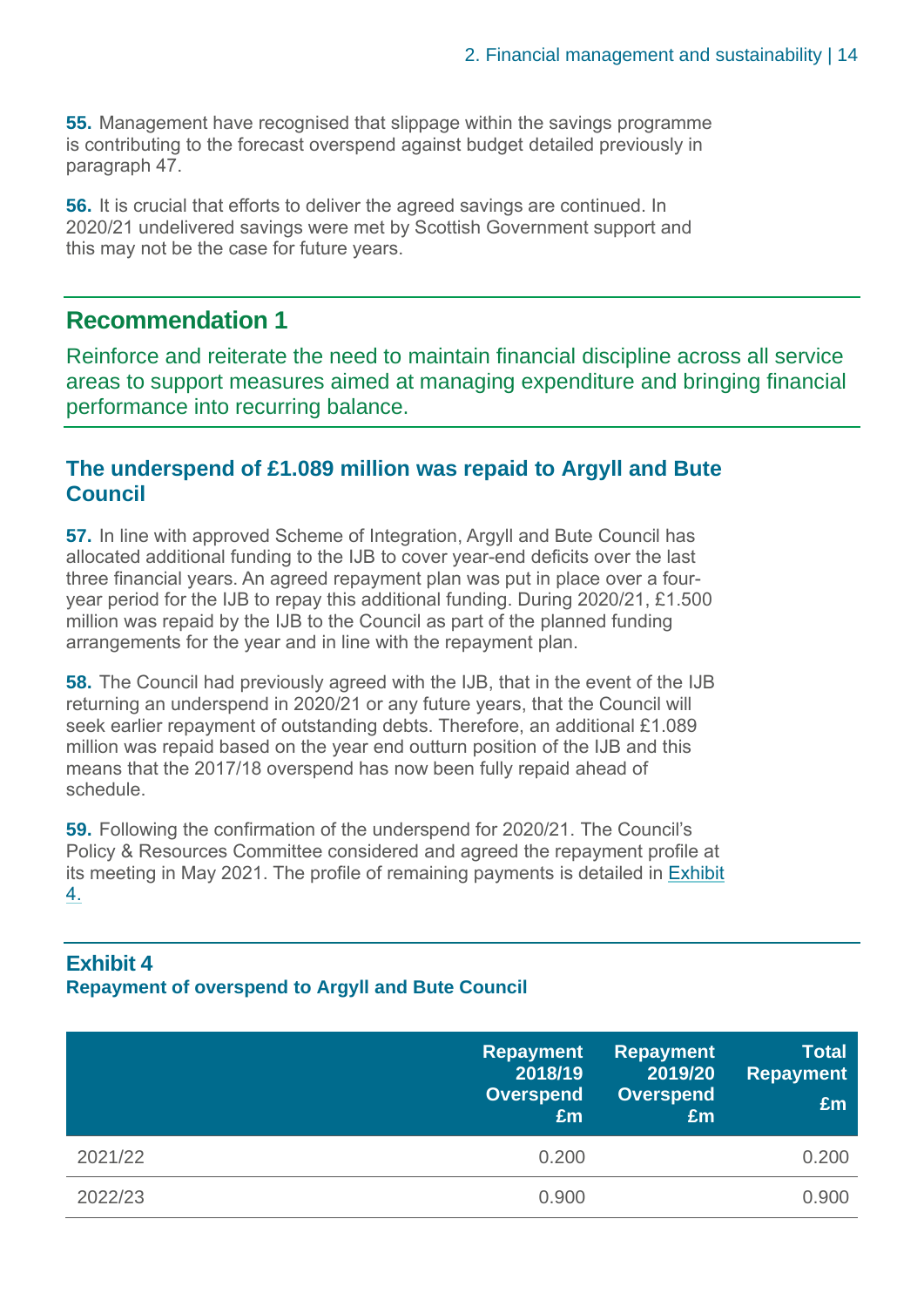**55.** Management have recognised that slippage within the savings programme is contributing to the forecast overspend against budget detailed previously in paragraph 47.

**56.** It is crucial that efforts to deliver the agreed savings are continued. In 2020/21 undelivered savings were met by Scottish Government support and this may not be the case for future years.

#### **Recommendation 1**

Reinforce and reiterate the need to maintain financial discipline across all service areas to support measures aimed at managing expenditure and bringing financial performance into recurring balance.

#### **The underspend of £1.089 million was repaid to Argyll and Bute Council**

**57.** In line with approved Scheme of Integration, Argyll and Bute Council has allocated additional funding to the IJB to cover year-end deficits over the last three financial years. An agreed repayment plan was put in place over a fouryear period for the IJB to repay this additional funding. During 2020/21, £1.500 million was repaid by the IJB to the Council as part of the planned funding arrangements for the year and in line with the repayment plan.

**58.** The Council had previously agreed with the IJB, that in the event of the IJB returning an underspend in 2020/21 or any future years, that the Council will seek earlier repayment of outstanding debts. Therefore, an additional £1.089 million was repaid based on the year end outturn position of the IJB and this means that the 2017/18 overspend has now been fully repaid ahead of schedule.

**59.** Following the confirmation of the underspend for 2020/21. The Council's Policy & Resources Committee considered and agreed the repayment profile at its meeting in May 2021. The profile of remaining payments is detailed in [Exhibit](#page-13-0)  [4.](#page-13-0)

#### <span id="page-13-0"></span>**Exhibit 4 Repayment of overspend to Argyll and Bute Council**

|         | <b>Repayment</b><br>2018/19<br><b>Overspend</b><br>£m | <b>Repayment</b><br>2019/20<br><b>Overspend</b><br>£m | <b>Total</b><br><b>Repayment</b><br>£m |
|---------|-------------------------------------------------------|-------------------------------------------------------|----------------------------------------|
| 2021/22 | 0.200                                                 |                                                       | 0.200                                  |
| 2022/23 | 0.900                                                 |                                                       | 0.900                                  |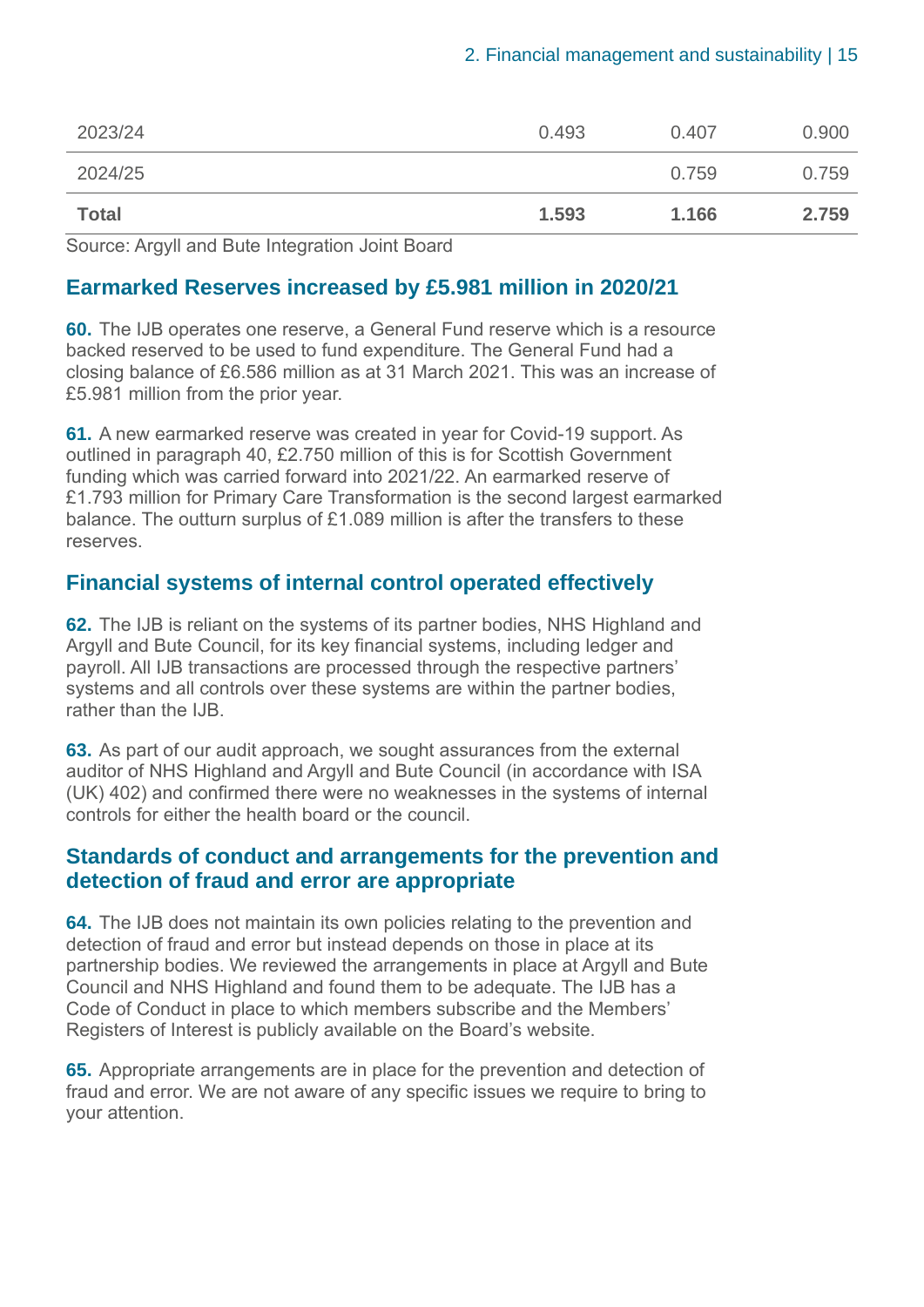| 2023/24      | 0.493 | 0.407 | 0.900 |
|--------------|-------|-------|-------|
| 2024/25      |       | 0.759 | 0.759 |
| <b>Total</b> | 1.593 | 1.166 | 2.759 |

Source: Argyll and Bute Integration Joint Board

#### **Earmarked Reserves increased by £5.981 million in 2020/21**

**60.** The IJB operates one reserve, a General Fund reserve which is a resource backed reserved to be used to fund expenditure. The General Fund had a closing balance of £6.586 million as at 31 March 2021. This was an increase of £5.981 million from the prior year.

**61.** A new earmarked reserve was created in year for Covid-19 support. As outlined in paragraph 40, £2.750 million of this is for Scottish Government funding which was carried forward into 2021/22. An earmarked reserve of £1.793 million for Primary Care Transformation is the second largest earmarked balance. The outturn surplus of £1.089 million is after the transfers to these reserves.

#### **Financial systems of internal control operated effectively**

**62.** The IJB is reliant on the systems of its partner bodies, NHS Highland and Argyll and Bute Council, for its key financial systems, including ledger and payroll. All IJB transactions are processed through the respective partners' systems and all controls over these systems are within the partner bodies, rather than the IJB.

**63.** As part of our audit approach, we sought assurances from the external auditor of NHS Highland and Argyll and Bute Council (in accordance with ISA (UK) 402) and confirmed there were no weaknesses in the systems of internal controls for either the health board or the council.

#### **Standards of conduct and arrangements for the prevention and detection of fraud and error are appropriate**

**64.** The IJB does not maintain its own policies relating to the prevention and detection of fraud and error but instead depends on those in place at its partnership bodies. We reviewed the arrangements in place at Argyll and Bute Council and NHS Highland and found them to be adequate. The IJB has a Code of Conduct in place to which members subscribe and the Members' Registers of Interest is publicly available on the Board's website.

**65.** Appropriate arrangements are in place for the prevention and detection of fraud and error. We are not aware of any specific issues we require to bring to your attention.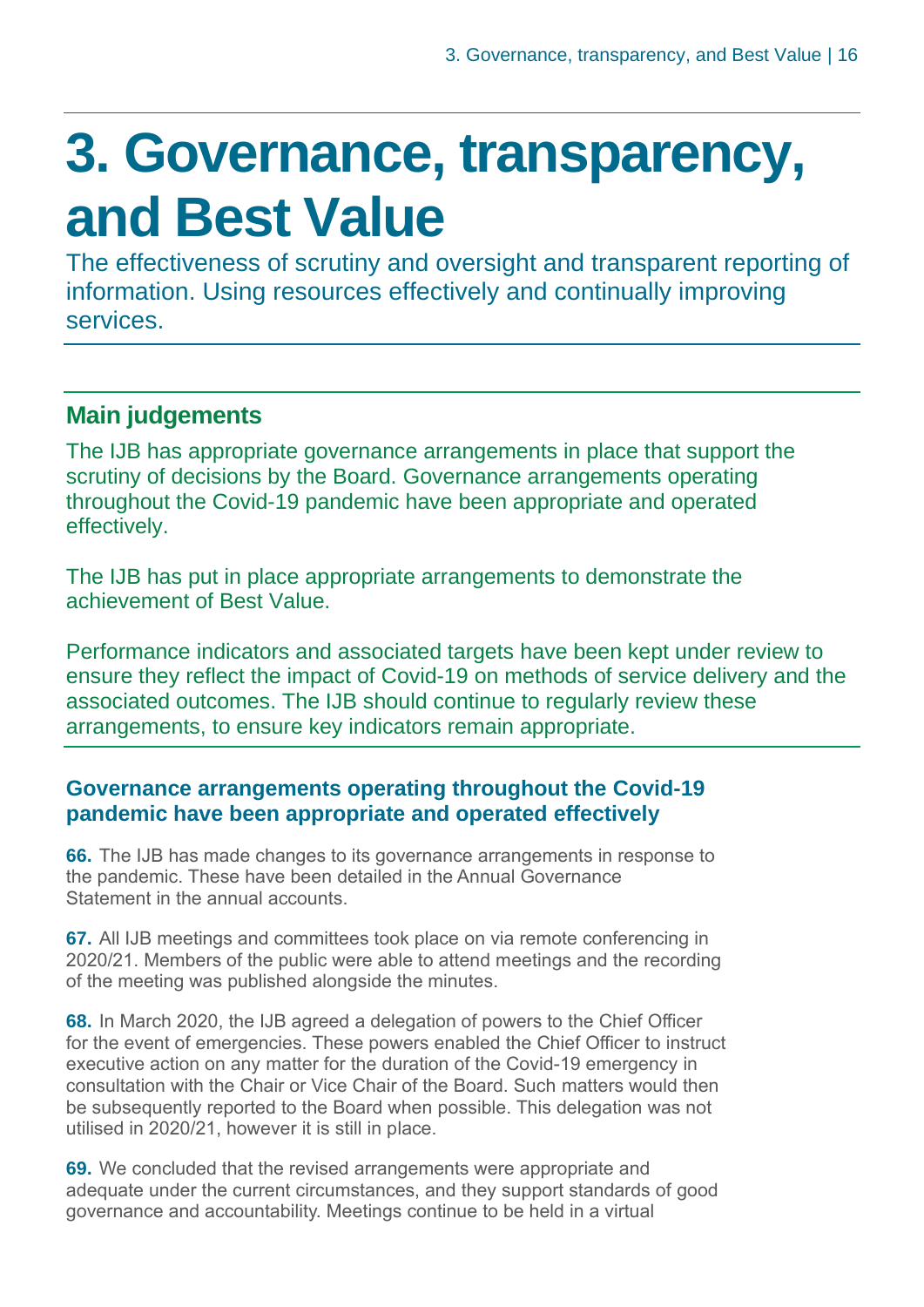### <span id="page-15-0"></span>**3. Governance, transparency, and Best Value**

The effectiveness of scrutiny and oversight and transparent reporting of information. Using resources effectively and continually improving services.

### **Main judgements**

The IJB has appropriate governance arrangements in place that support the scrutiny of decisions by the Board. Governance arrangements operating throughout the Covid-19 pandemic have been appropriate and operated effectively.

The IJB has put in place appropriate arrangements to demonstrate the achievement of Best Value.

Performance indicators and associated targets have been kept under review to ensure they reflect the impact of Covid-19 on methods of service delivery and the associated outcomes. The IJB should continue to regularly review these arrangements, to ensure key indicators remain appropriate.

#### **Governance arrangements operating throughout the Covid-19 pandemic have been appropriate and operated effectively**

**66.** The IJB has made changes to its governance arrangements in response to the pandemic. These have been detailed in the Annual Governance Statement in the annual accounts.

**67.** All IJB meetings and committees took place on via remote conferencing in 2020/21. Members of the public were able to attend meetings and the recording of the meeting was published alongside the minutes.

**68.** In March 2020, the IJB agreed a delegation of powers to the Chief Officer for the event of emergencies. These powers enabled the Chief Officer to instruct executive action on any matter for the duration of the Covid-19 emergency in consultation with the Chair or Vice Chair of the Board. Such matters would then be subsequently reported to the Board when possible. This delegation was not utilised in 2020/21, however it is still in place.

**69.** We concluded that the revised arrangements were appropriate and adequate under the current circumstances, and they support standards of good governance and accountability. Meetings continue to be held in a virtual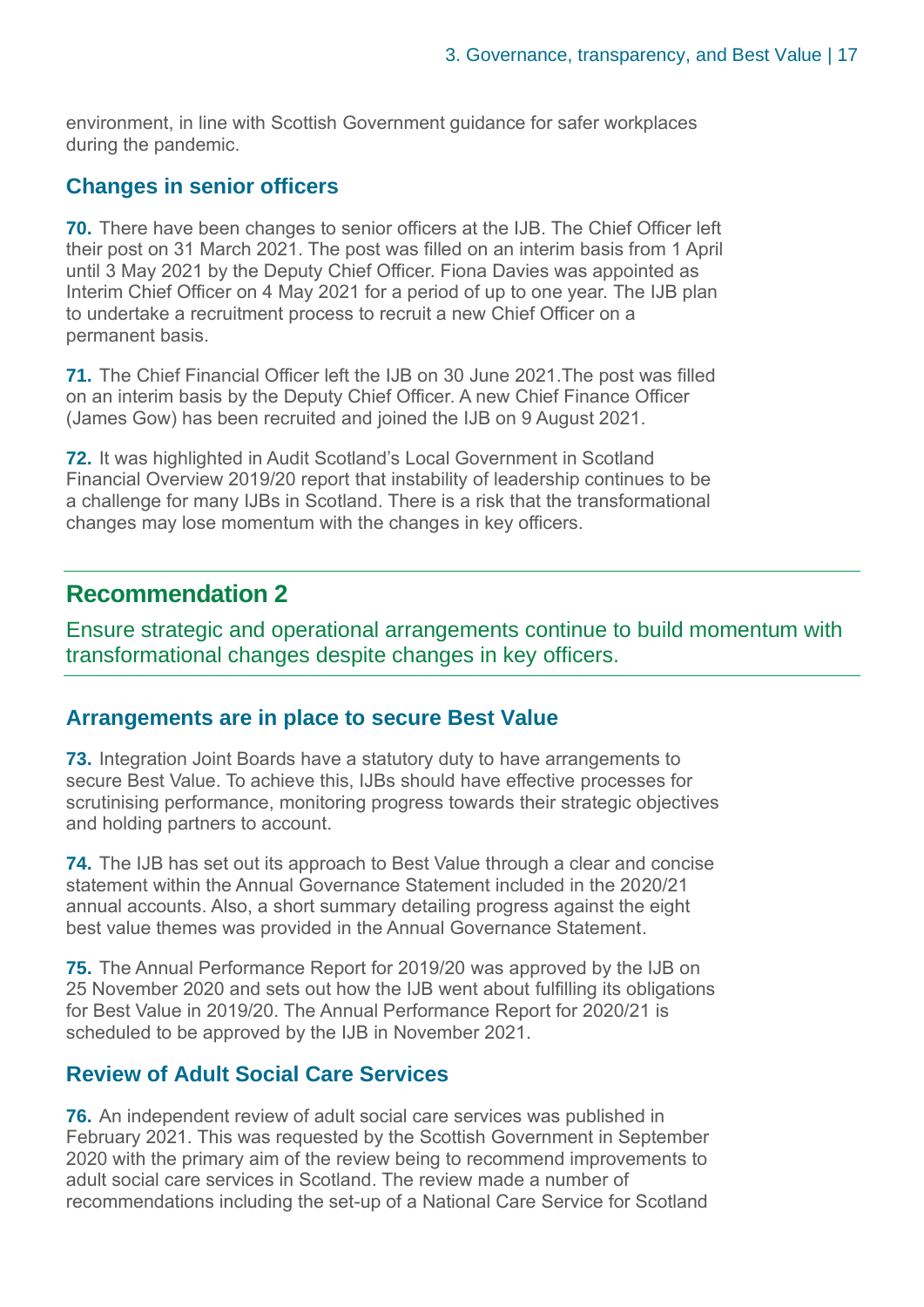environment, in line with Scottish Government guidance for safer workplaces during the pandemic.

#### **Changes in senior officers**

**70.** There have been changes to senior officers at the IJB. The Chief Officer left their post on 31 March 2021. The post was filled on an interim basis from 1 April until 3 May 2021 by the Deputy Chief Officer. Fiona Davies was appointed as Interim Chief Officer on 4 May 2021 for a period of up to one year. The IJB plan to undertake a recruitment process to recruit a new Chief Officer on a permanent basis.

**71.** The Chief Financial Officer left the IJB on 30 June 2021.The post was filled on an interim basis by the Deputy Chief Officer. A new Chief Finance Officer (James Gow) has been recruited and joined the IJB on 9 August 2021.

**72.** It was highlighted in Audit Scotland's [Local Government in Scotland](https://www.audit-scotland.gov.uk/uploads/docs/report/2021/nr_210126_local_government_finance.pdf)  [Financial Overview 2019/20 report](https://www.audit-scotland.gov.uk/uploads/docs/report/2021/nr_210126_local_government_finance.pdf) that instability of leadership continues to be a challenge for many IJBs in Scotland. There is a risk that the transformational changes may lose momentum with the changes in key officers.

#### **Recommendation 2**

Ensure strategic and operational arrangements continue to build momentum with transformational changes despite changes in key officers.

#### **Arrangements are in place to secure Best Value**

**73.** Integration Joint Boards have a statutory duty to have arrangements to secure Best Value. To achieve this, IJBs should have effective processes for scrutinising performance, monitoring progress towards their strategic objectives and holding partners to account.

**74.** The IJB has set out its approach to Best Value through a clear and concise statement within the Annual Governance Statement included in the 2020/21 annual accounts. Also, a short summary detailing progress against the eight best value themes was provided in the Annual Governance Statement.

**75.** The Annual Performance Report for 2019/20 was approved by the IJB on 25 November 2020 and sets out how the IJB went about fulfilling its obligations for Best Value in 2019/20. The Annual Performance Report for 2020/21 is scheduled to be approved by the IJB in November 2021.

#### **Review of Adult Social Care Services**

**76.** An independent review of adult social care services was published in February 2021. This was requested by the Scottish Government in September 2020 with the primary aim of the review being to recommend improvements to adult social care services in Scotland. The review made a number of recommendations including the set-up of a National Care Service for Scotland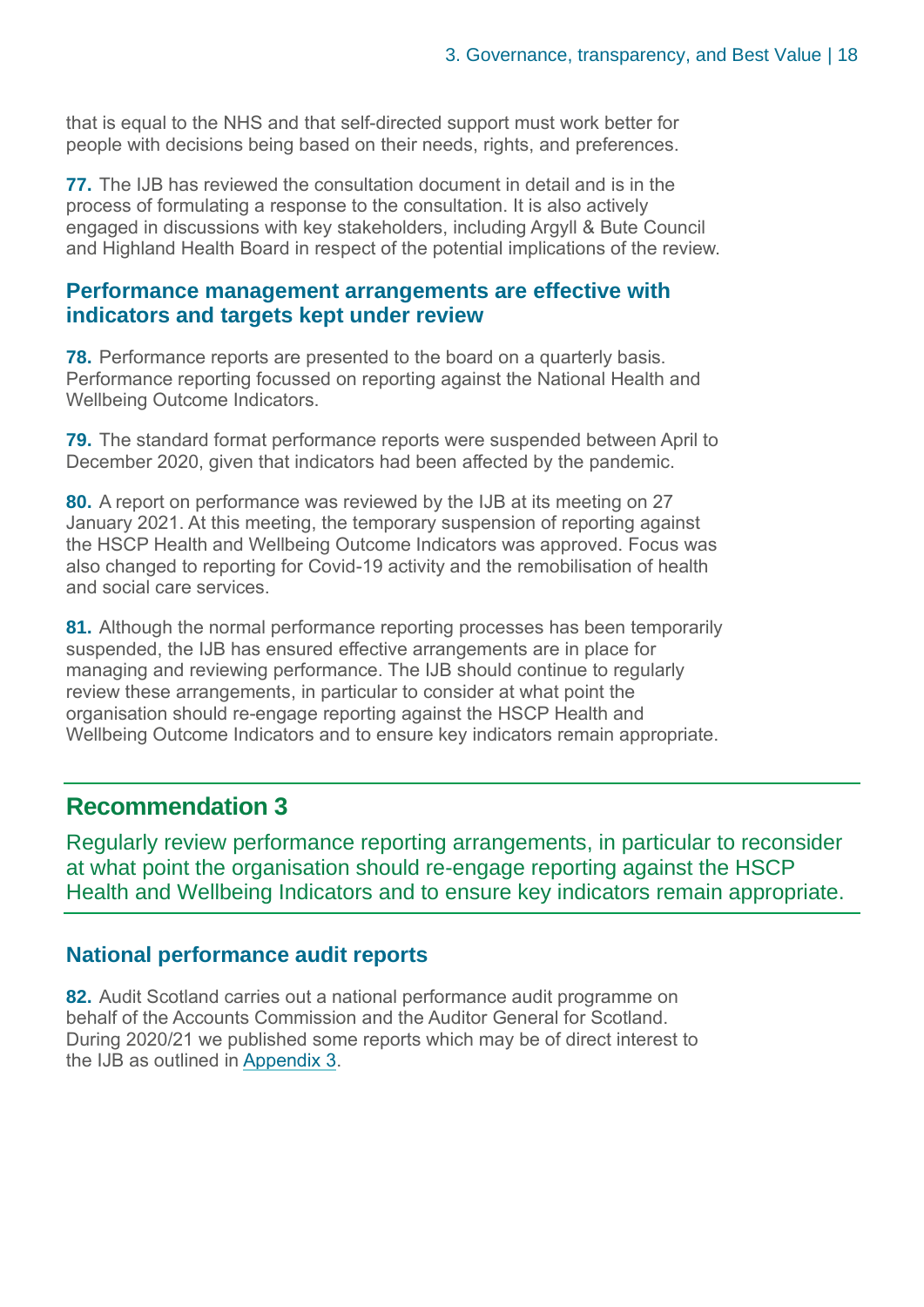that is equal to the NHS and that self-directed support must work better for people with decisions being based on their needs, rights, and preferences.

**77.** The IJB has reviewed the consultation document in detail and is in the process of formulating a response to the consultation. It is also actively engaged in discussions with key stakeholders, including Argyll & Bute Council and Highland Health Board in respect of the potential implications of the review.

#### **Performance management arrangements are effective with indicators and targets kept under review**

**78.** Performance reports are presented to the board on a quarterly basis. Performance reporting focussed on reporting against the National Health and Wellbeing Outcome Indicators.

**79.** The standard format performance reports were suspended between April to December 2020, given that indicators had been affected by the pandemic.

**80.** A report on performance was reviewed by the IJB at its meeting on 27 January 2021. At this meeting, the temporary suspension of reporting against the HSCP Health and Wellbeing Outcome Indicators was approved. Focus was also changed to reporting for Covid-19 activity and the remobilisation of health and social care services.

**81.** Although the normal performance reporting processes has been temporarily suspended, the IJB has ensured effective arrangements are in place for managing and reviewing performance. The IJB should continue to regularly review these arrangements, in particular to consider at what point the organisation should re-engage reporting against the HSCP Health and Wellbeing Outcome Indicators and to ensure key indicators remain appropriate.

#### **Recommendation 3**

Regularly review performance reporting arrangements, in particular to reconsider at what point the organisation should re-engage reporting against the HSCP Health and Wellbeing Indicators and to ensure key indicators remain appropriate.

#### **National performance audit reports**

**82.** Audit Scotland carries out a national performance audit programme on behalf of the Accounts Commission and the Auditor General for Scotland. During 2020/21 we published some reports which may be of direct interest to the IJB as outlined in [Appendix 3.](#page-25-0)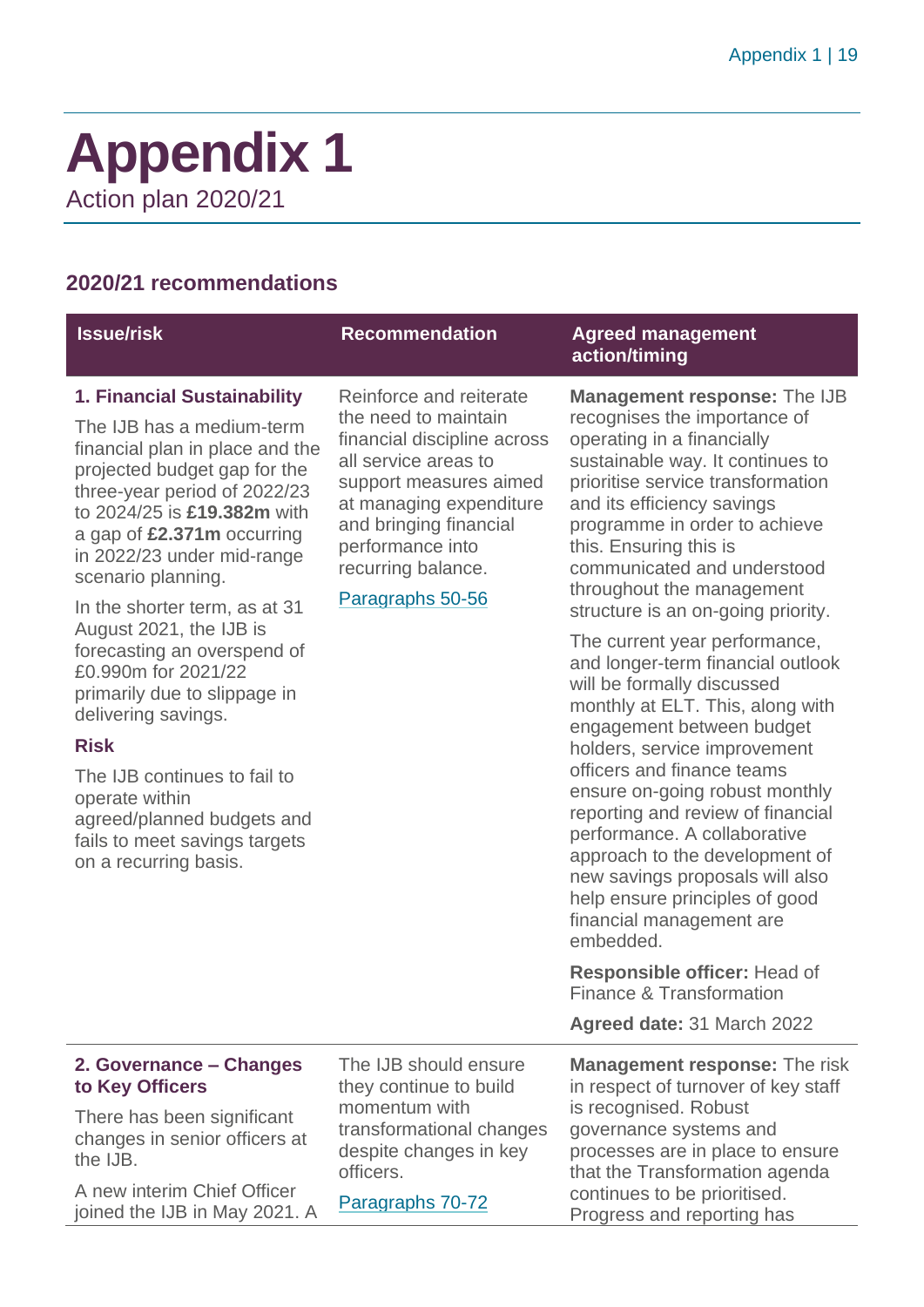### <span id="page-18-0"></span>**Appendix 1** Action plan 2020/21

#### **2020/21 recommendations**

| <b>Issue/risk</b>                                                                                                                                                                                                                                                                                                                                                                                                                                                                                                                                                                                              | <b>Recommendation</b>                                                                                                                                                                                                                               | <b>Agreed management</b><br>action/timing                                                                                                                                                                                                                                                                                                                                                                                                                                                                                                                                                                                                                                                                                                                                                                                                                                                                                                                        |
|----------------------------------------------------------------------------------------------------------------------------------------------------------------------------------------------------------------------------------------------------------------------------------------------------------------------------------------------------------------------------------------------------------------------------------------------------------------------------------------------------------------------------------------------------------------------------------------------------------------|-----------------------------------------------------------------------------------------------------------------------------------------------------------------------------------------------------------------------------------------------------|------------------------------------------------------------------------------------------------------------------------------------------------------------------------------------------------------------------------------------------------------------------------------------------------------------------------------------------------------------------------------------------------------------------------------------------------------------------------------------------------------------------------------------------------------------------------------------------------------------------------------------------------------------------------------------------------------------------------------------------------------------------------------------------------------------------------------------------------------------------------------------------------------------------------------------------------------------------|
| 1. Financial Sustainability<br>The IJB has a medium-term<br>financial plan in place and the<br>projected budget gap for the<br>three-year period of 2022/23<br>to 2024/25 is £19.382m with<br>a gap of £2.371m occurring<br>in 2022/23 under mid-range<br>scenario planning.<br>In the shorter term, as at 31<br>August 2021, the IJB is<br>forecasting an overspend of<br>£0.990m for 2021/22<br>primarily due to slippage in<br>delivering savings.<br><b>Risk</b><br>The IJB continues to fail to<br>operate within<br>agreed/planned budgets and<br>fails to meet savings targets<br>on a recurring basis. | Reinforce and reiterate<br>the need to maintain<br>financial discipline across<br>all service areas to<br>support measures aimed<br>at managing expenditure<br>and bringing financial<br>performance into<br>recurring balance.<br>Paragraphs 50-56 | <b>Management response: The IJB</b><br>recognises the importance of<br>operating in a financially<br>sustainable way. It continues to<br>prioritise service transformation<br>and its efficiency savings<br>programme in order to achieve<br>this. Ensuring this is<br>communicated and understood<br>throughout the management<br>structure is an on-going priority.<br>The current year performance,<br>and longer-term financial outlook<br>will be formally discussed<br>monthly at ELT. This, along with<br>engagement between budget<br>holders, service improvement<br>officers and finance teams<br>ensure on-going robust monthly<br>reporting and review of financial<br>performance. A collaborative<br>approach to the development of<br>new savings proposals will also<br>help ensure principles of good<br>financial management are<br>embedded.<br><b>Responsible officer: Head of</b><br>Finance & Transformation<br>Agreed date: 31 March 2022 |
| 2. Governance – Changes<br>to Key Officers                                                                                                                                                                                                                                                                                                                                                                                                                                                                                                                                                                     | The IJB should ensure<br>they continue to build                                                                                                                                                                                                     | <b>Management response: The risk</b><br>in respect of turnover of key staff                                                                                                                                                                                                                                                                                                                                                                                                                                                                                                                                                                                                                                                                                                                                                                                                                                                                                      |
| There has been significant<br>changes in senior officers at<br>the IJB.                                                                                                                                                                                                                                                                                                                                                                                                                                                                                                                                        | momentum with<br>transformational changes<br>despite changes in key<br>officers.                                                                                                                                                                    | is recognised. Robust<br>governance systems and<br>processes are in place to ensure<br>that the Transformation agenda                                                                                                                                                                                                                                                                                                                                                                                                                                                                                                                                                                                                                                                                                                                                                                                                                                            |
| A new interim Chief Officer<br>joined the IJB in May 2021. A                                                                                                                                                                                                                                                                                                                                                                                                                                                                                                                                                   | Paragraphs 70-72                                                                                                                                                                                                                                    | continues to be prioritised.<br>Progress and reporting has                                                                                                                                                                                                                                                                                                                                                                                                                                                                                                                                                                                                                                                                                                                                                                                                                                                                                                       |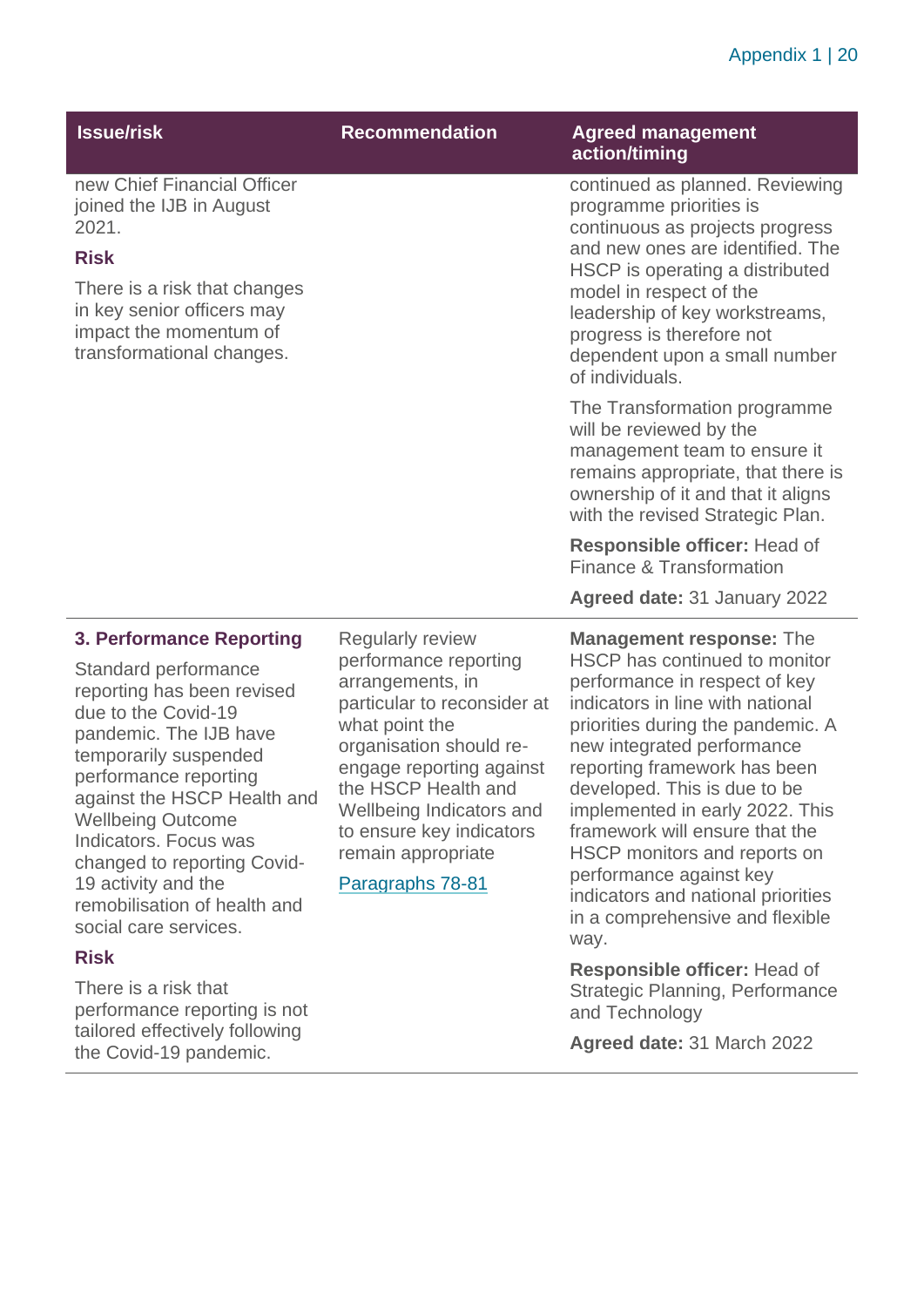#### Appendix 1 | 20

| <b>Issue/risk</b>                                                                                                                                                                                                | <b>Recommendation</b>                                                                                                                                                                                                                                   | <b>Agreed management</b><br>action/timing                                                                                                                                                                                                                                                                                              |
|------------------------------------------------------------------------------------------------------------------------------------------------------------------------------------------------------------------|---------------------------------------------------------------------------------------------------------------------------------------------------------------------------------------------------------------------------------------------------------|----------------------------------------------------------------------------------------------------------------------------------------------------------------------------------------------------------------------------------------------------------------------------------------------------------------------------------------|
| new Chief Financial Officer<br>joined the IJB in August<br>2021.                                                                                                                                                 |                                                                                                                                                                                                                                                         | continued as planned. Reviewing<br>programme priorities is<br>continuous as projects progress                                                                                                                                                                                                                                          |
| <b>Risk</b>                                                                                                                                                                                                      |                                                                                                                                                                                                                                                         | and new ones are identified. The<br>HSCP is operating a distributed                                                                                                                                                                                                                                                                    |
| There is a risk that changes<br>in key senior officers may<br>impact the momentum of<br>transformational changes.                                                                                                |                                                                                                                                                                                                                                                         | model in respect of the<br>leadership of key workstreams,<br>progress is therefore not<br>dependent upon a small number<br>of individuals.                                                                                                                                                                                             |
|                                                                                                                                                                                                                  |                                                                                                                                                                                                                                                         | The Transformation programme<br>will be reviewed by the<br>management team to ensure it<br>remains appropriate, that there is<br>ownership of it and that it aligns<br>with the revised Strategic Plan.                                                                                                                                |
|                                                                                                                                                                                                                  |                                                                                                                                                                                                                                                         | Responsible officer: Head of<br>Finance & Transformation                                                                                                                                                                                                                                                                               |
|                                                                                                                                                                                                                  |                                                                                                                                                                                                                                                         | Agreed date: 31 January 2022                                                                                                                                                                                                                                                                                                           |
| <b>3. Performance Reporting</b>                                                                                                                                                                                  | Regularly review                                                                                                                                                                                                                                        | <b>Management response: The</b>                                                                                                                                                                                                                                                                                                        |
| Standard performance<br>reporting has been revised<br>due to the Covid-19<br>pandemic. The IJB have<br>temporarily suspended<br>performance reporting<br>against the HSCP Health and<br><b>Wellbeing Outcome</b> | performance reporting<br>arrangements, in<br>particular to reconsider at<br>what point the<br>organisation should re-<br>engage reporting against<br>the HSCP Health and<br>Wellbeing Indicators and<br>منابعات والمستوات والمستنقل والمستحدث والمستحدة | HSCP has continued to monitor<br>performance in respect of key<br>indicators in line with national<br>priorities during the pandemic. A<br>new integrated performance<br>reporting framework has been<br>developed. This is due to be<br>implemented in early 2022. This<br>والملازم والمستنقل والمستنقص والمستنبذ والمستنقل والمستحدث |

remain appropriate Paragraphs 78-81

to ensure key indicators

Indicators. Focus was

19 activity and the

social care services.

There is a risk that

**Risk** 

changed to reporting Covid-

remobilisation of health and

performance reporting is not tailored effectively following the Covid-19 pandemic.

implemented in early 2022. This framework will ensure that the HSCP monitors and reports on performance against key indicators and national priorities in a comprehensive and flexible way.

**Responsible officer:** Head of Strategic Planning, Performance and Technology

**Agreed date:** 31 March 2022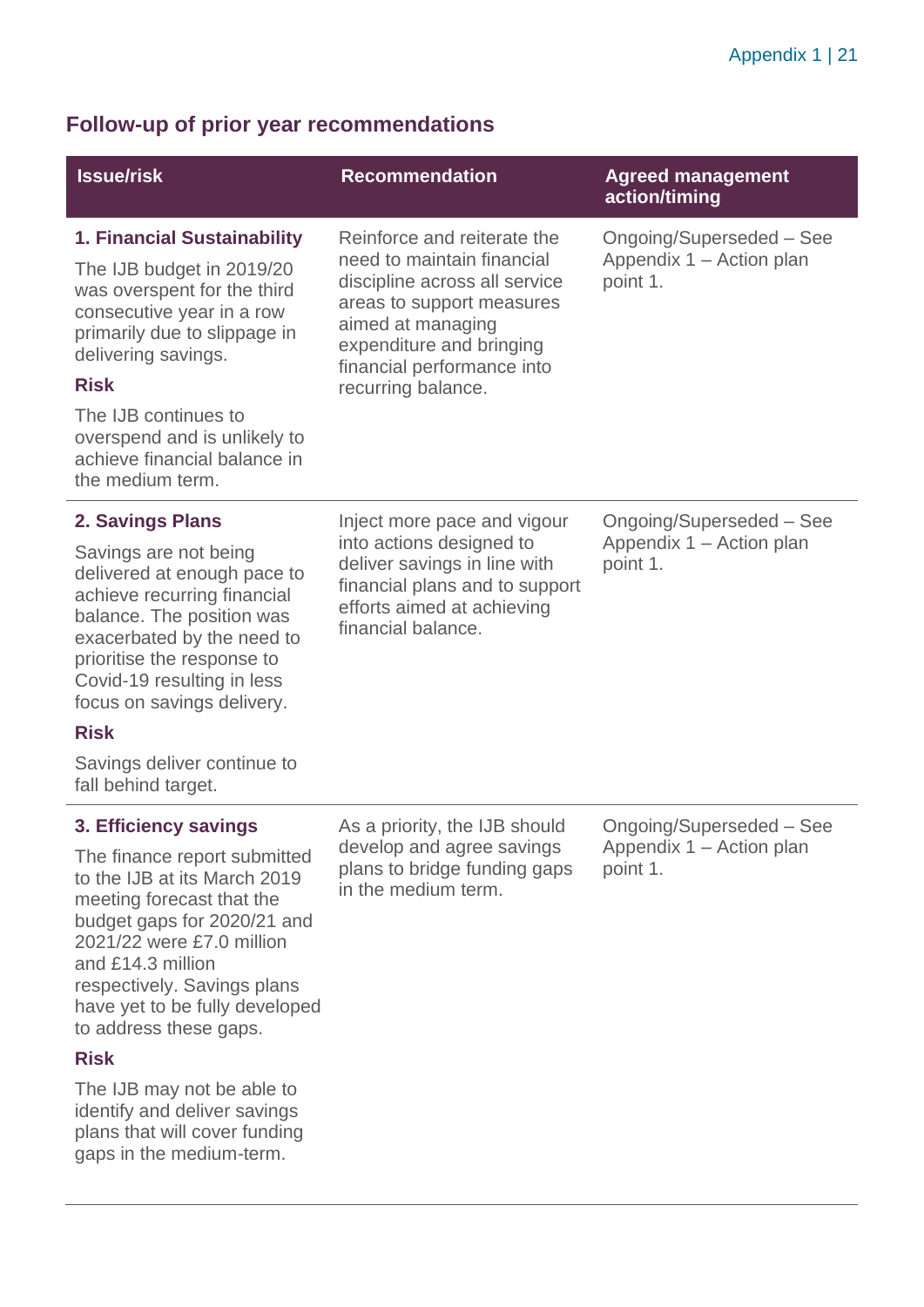#### **Follow-up of prior year recommendations**

| <b>Issue/risk</b>                                                                                                                                                                                                                                                                                                                                                           | <b>Recommendation</b>                                                                                                                                                                                                        | <b>Agreed management</b><br>action/timing                        |
|-----------------------------------------------------------------------------------------------------------------------------------------------------------------------------------------------------------------------------------------------------------------------------------------------------------------------------------------------------------------------------|------------------------------------------------------------------------------------------------------------------------------------------------------------------------------------------------------------------------------|------------------------------------------------------------------|
| <b>1. Financial Sustainability</b><br>The IJB budget in 2019/20<br>was overspent for the third<br>consecutive year in a row<br>primarily due to slippage in<br>delivering savings.<br><b>Risk</b><br>The IJB continues to<br>overspend and is unlikely to<br>achieve financial balance in<br>the medium term.                                                               | Reinforce and reiterate the<br>need to maintain financial<br>discipline across all service<br>areas to support measures<br>aimed at managing<br>expenditure and bringing<br>financial performance into<br>recurring balance. | Ongoing/Superseded - See<br>Appendix 1 - Action plan<br>point 1. |
| 2. Savings Plans<br>Savings are not being<br>delivered at enough pace to<br>achieve recurring financial<br>balance. The position was<br>exacerbated by the need to<br>prioritise the response to<br>Covid-19 resulting in less<br>focus on savings delivery.<br><b>Risk</b><br>Savings deliver continue to<br>fall behind target.                                           | Inject more pace and vigour<br>into actions designed to<br>deliver savings in line with<br>financial plans and to support<br>efforts aimed at achieving<br>financial balance.                                                | Ongoing/Superseded - See<br>Appendix 1 – Action plan<br>point 1. |
| 3. Efficiency savings<br>The finance report submitted<br>to the IJB at its March 2019<br>meeting forecast that the<br>budget gaps for 2020/21 and<br>2021/22 were £7.0 million<br>and £14.3 million<br>respectively. Savings plans<br>have yet to be fully developed<br>to address these gaps.<br><b>Risk</b><br>The IJB may not be able to<br>identify and deliver covinge | As a priority, the IJB should<br>develop and agree savings<br>plans to bridge funding gaps<br>in the medium term.                                                                                                            | Ongoing/Superseded - See<br>Appendix 1 - Action plan<br>point 1. |

identify and deliver savings plans that will cover funding gaps in the medium-term.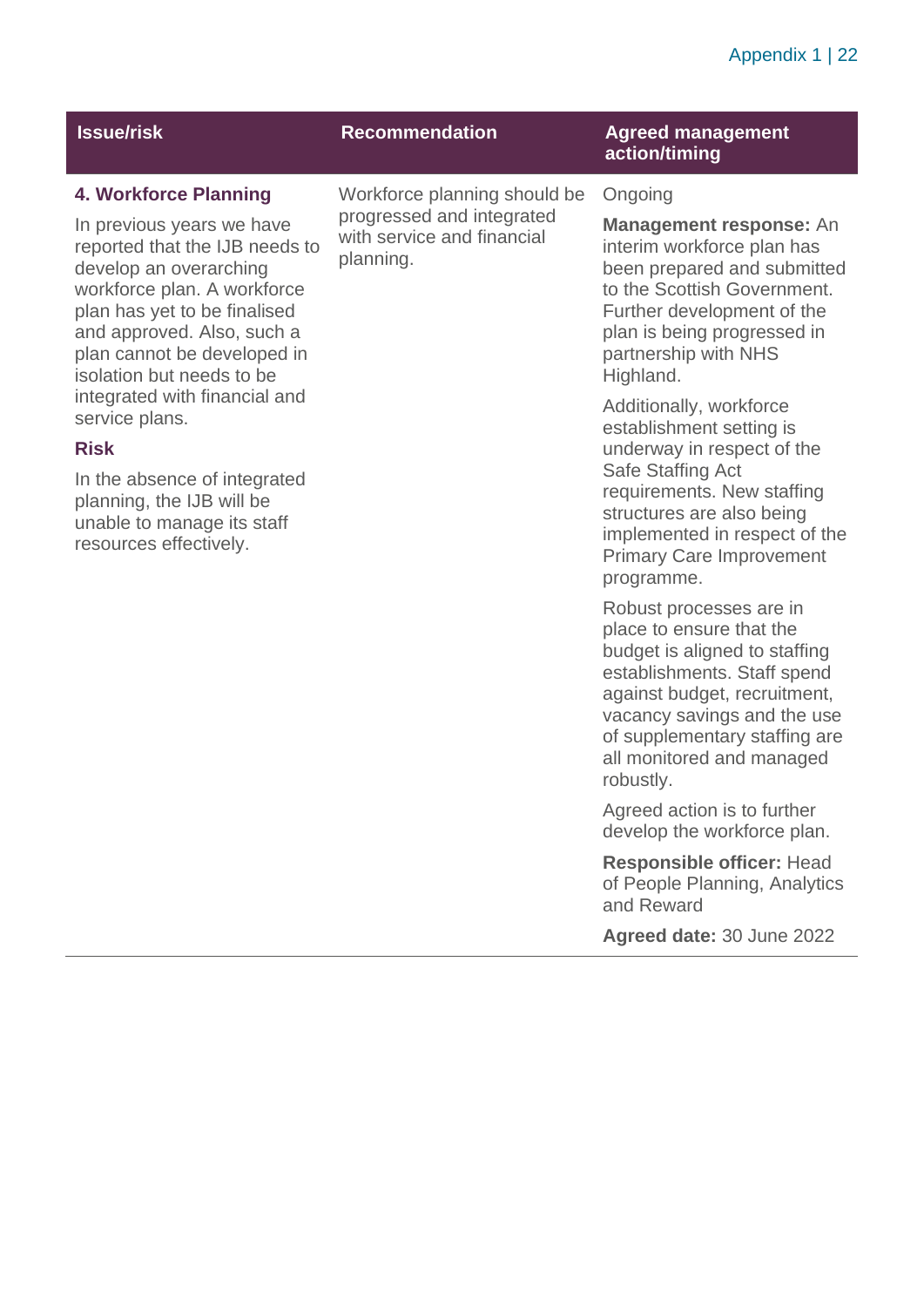#### Appendix 1 | 22

| <b>Issue/risk</b>                                                                                                                                                             | <b>Recommendation</b>                                                                                | <b>Agreed management</b><br>action/timing                                                                                                      |
|-------------------------------------------------------------------------------------------------------------------------------------------------------------------------------|------------------------------------------------------------------------------------------------------|------------------------------------------------------------------------------------------------------------------------------------------------|
| 4. Workforce Planning<br>In previous years we have<br>reported that the IJB needs to<br>develop an overarching<br>workforce plan. A workforce<br>plan has yet to be finalised | Workforce planning should be<br>progressed and integrated<br>with service and financial<br>planning. | Ongoing<br><b>Management respons</b><br>interim workforce plan I<br>been prepared and sub<br>to the Scottish Governr<br>Further development of |

service plans. **Risk**

and approved. Also, such a plan cannot be developed in isolation but needs to be integrated with financial and

In the absence of integrated planning, the IJB will be unable to manage its staff resources effectively.

**sponse: An** e plan has nd submitted invernment ment of the plan is being progressed in partnership with NHS Highland.

Additionally, workforce establishment setting is underway in respect of the Safe Staffing Act requirements. New staffing structures are also being implemented in respect of the Primary Care Improvement programme.

Robust processes are in place to ensure that the budget is aligned to staffing establishments. Staff spend against budget, recruitment, vacancy savings and the use of supplementary staffing are all monitored and managed robustly.

Agreed action is to further develop the workforce plan.

**Responsible officer:** Head of People Planning, Analytics and Reward

**Agreed date:** 30 June 2022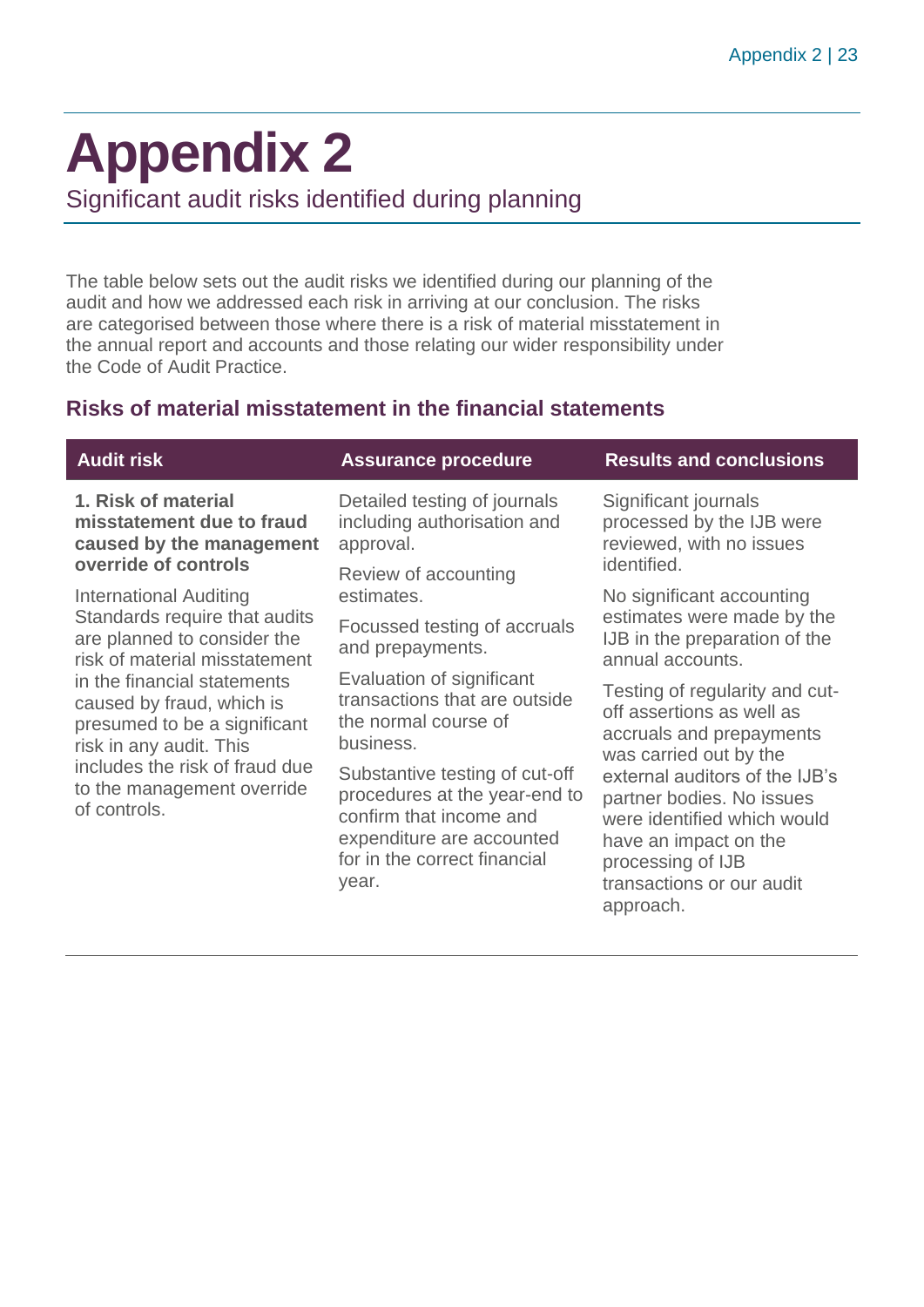### <span id="page-22-0"></span>**Appendix 2**

Significant audit risks identified during planning

The table below sets out the audit risks we identified during our planning of the audit and how we addressed each risk in arriving at our conclusion. The risks are categorised between those where there is a risk of material misstatement in the annual report and accounts and those relating our wider responsibility under the Code of Audit Practice.

#### **Risks of material misstatement in the financial statements**

| <b>Audit risk</b>                                                                                                                                                                                   | <b>Assurance procedure</b>                                                                                                                                       | <b>Results and conclusions</b>                                                                                                                                        |
|-----------------------------------------------------------------------------------------------------------------------------------------------------------------------------------------------------|------------------------------------------------------------------------------------------------------------------------------------------------------------------|-----------------------------------------------------------------------------------------------------------------------------------------------------------------------|
| 1. Risk of material<br>misstatement due to fraud<br>caused by the management                                                                                                                        | Detailed testing of journals<br>including authorisation and<br>approval.                                                                                         | Significant journals<br>processed by the IJB were<br>reviewed, with no issues                                                                                         |
| override of controls<br>International Auditing                                                                                                                                                      | Review of accounting<br>estimates.                                                                                                                               | identified.<br>No significant accounting                                                                                                                              |
| Standards require that audits<br>are planned to consider the<br>risk of material misstatement                                                                                                       | Focussed testing of accruals<br>and prepayments.                                                                                                                 | estimates were made by the<br>IJB in the preparation of the<br>annual accounts.                                                                                       |
| in the financial statements<br>caused by fraud, which is<br>presumed to be a significant<br>risk in any audit. This<br>includes the risk of fraud due<br>to the management override<br>of controls. | Evaluation of significant<br>transactions that are outside<br>the normal course of<br>business.                                                                  | Testing of regularity and cut-<br>off assertions as well as<br>accruals and prepayments<br>was carried out by the                                                     |
|                                                                                                                                                                                                     | Substantive testing of cut-off<br>procedures at the year-end to<br>confirm that income and<br>expenditure are accounted<br>for in the correct financial<br>year. | external auditors of the IJB's<br>partner bodies. No issues<br>were identified which would<br>have an impact on the<br>processing of IJB<br>transactions or our audit |

approach.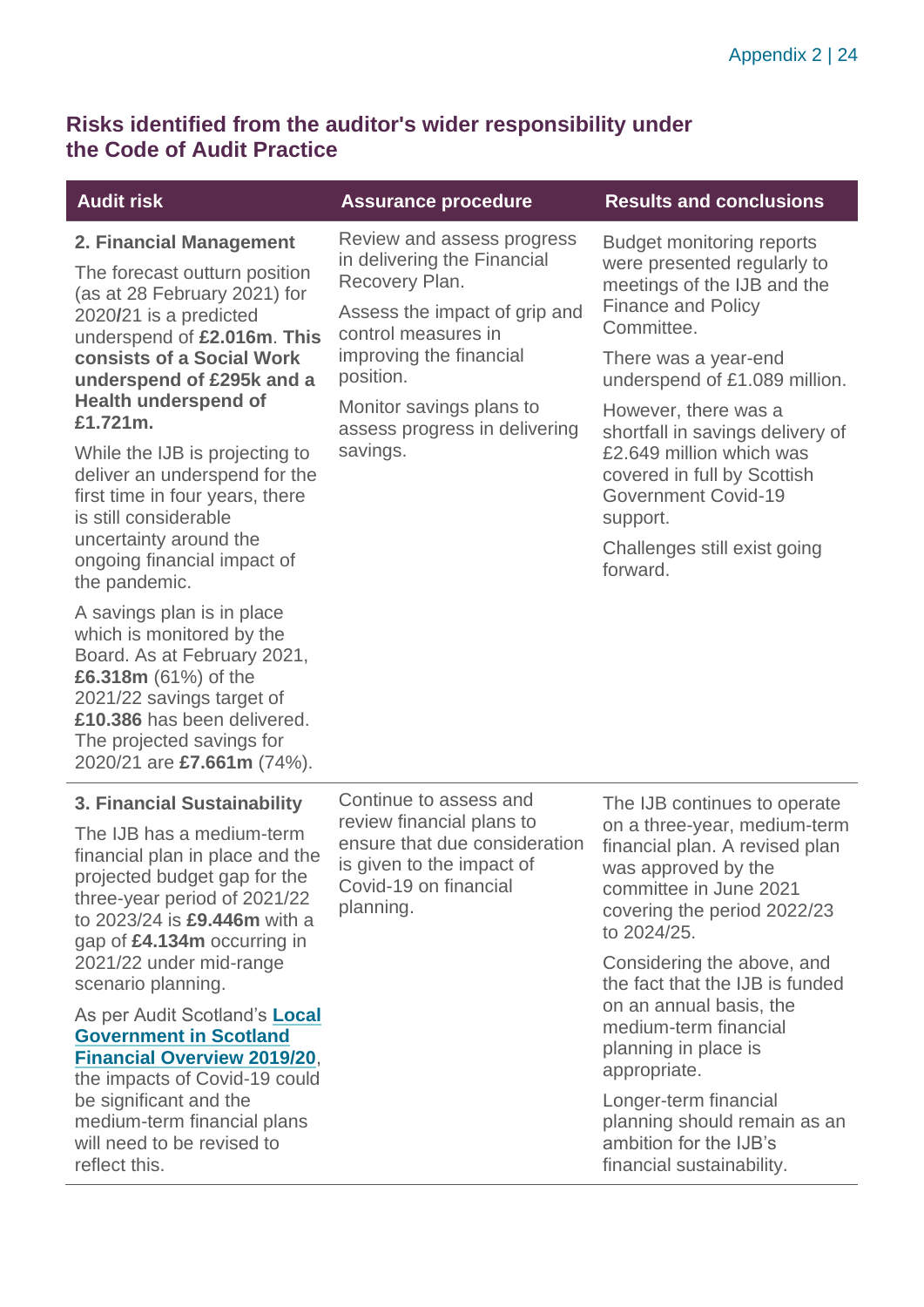#### **Risks identified from the auditor's wider responsibility under the Code of Audit Practice**

#### **Audit risk Assurance procedure Results and conclusions 2. Financial Management** The forecast outturn position (as at 28 February 2021) for 2020**/**21 is a predicted underspend of **£2.016m**. **This consists of a Social Work underspend of £295k and a Health underspend of £1.721m.**  While the IJB is projecting to deliver an underspend for the first time in four years, there is still considerable uncertainty around the ongoing financial impact of the pandemic. A savings plan is in place which is monitored by the Board. As at February 2021, **£6.318m** (61%) of the 2021/22 savings target of **£10.386** has been delivered. The projected savings for 2020/21 are **£7.661m** (74%). Review and assess progress in delivering the Financial Recovery Plan. Assess the impact of grip and control measures in improving the financial position. Monitor savings plans to assess progress in delivering savings. Budget monitoring reports were presented regularly to meetings of the IJB and the Finance and Policy Committee. There was a year-end underspend of £1.089 million. However, there was a shortfall in savings delivery of £2.649 million which was covered in full by Scottish Government Covid-19 support. Challenges still exist going forward. **3. Financial Sustainability** The IJB has a medium-term financial plan in place and the projected budget gap for the three-year period of 2021/22 to 2023/24 is **£9.446m** with a gap of **£4.134m** occurring in 2021/22 under mid-range scenario planning. As per Audit Scotland's **[Local](https://www.audit-scotland.gov.uk/uploads/docs/report/2021/nr_210126_local_government_finance.pdf)  [Government in Scotland](https://www.audit-scotland.gov.uk/uploads/docs/report/2021/nr_210126_local_government_finance.pdf)  [Financial Overview 2019/20](https://www.audit-scotland.gov.uk/uploads/docs/report/2021/nr_210126_local_government_finance.pdf)**, the impacts of Covid-19 could be significant and the medium-term financial plans Continue to assess and review financial plans to ensure that due consideration is given to the impact of Covid-19 on financial planning. The IJB continues to operate on a three-year, medium-term financial plan. A revised plan was approved by the committee in June 2021 covering the period 2022/23 to 2024/25. Considering the above, and the fact that the IJB is funded on an annual basis, the medium-term financial planning in place is appropriate. Longer-term financial planning should remain as an

will need to be revised to

reflect this.

ambition for the IJB's financial sustainability.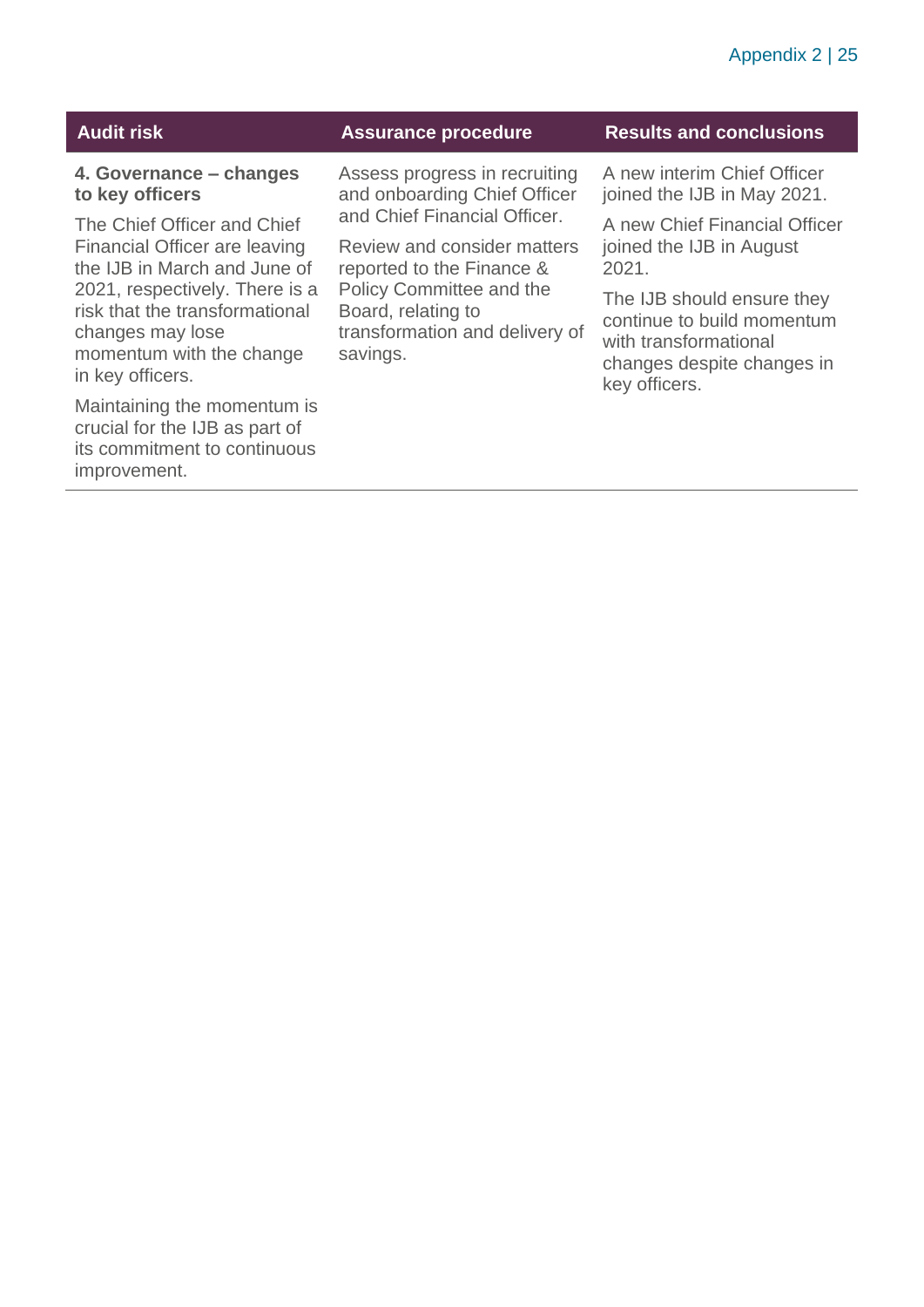| Audit risk |  |
|------------|--|
|------------|--|

**4. Governance – changes to key officers**

The Chief Officer and Chief Financial Officer are leaving the IJB in March and June of 2021, respectively. There is a risk that the transformational changes may lose momentum with the change in key officers.

Maintaining the momentum is crucial for the IJB as part of its commitment to continuous improvement.

Assess progress in recruiting and onboarding Chief Officer and Chief Financial Officer.

Review and consider matters reported to the Finance & Policy Committee and the Board, relating to transformation and delivery of savings.

#### **Assurance procedure Results and conclusions**

A new interim Chief Officer joined the IJB in May 2021.

A new Chief Financial Officer joined the IJB in August 2021.

The IJB should ensure they continue to build momentum with transformational changes despite changes in key officers.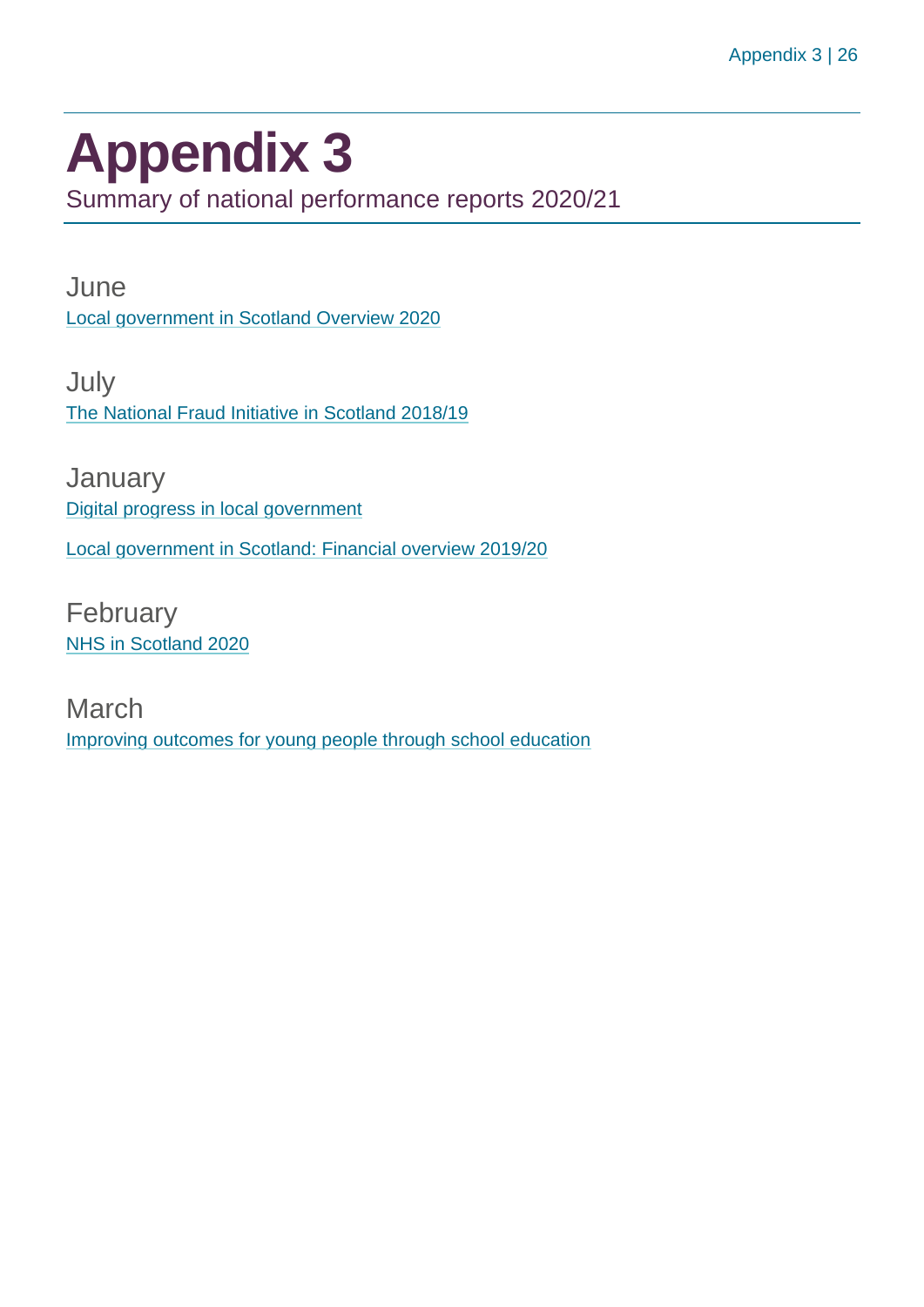## <span id="page-25-0"></span>**Appendix 3**

Summary of national performance reports 2020/21

**June** [Local government in Scotland Overview 2020](https://www.audit-scotland.gov.uk/report/local-government-in-scotland-overview-2020)

July [The National Fraud Initiative in Scotland 2018/19](https://www.audit-scotland.gov.uk/report/the-national-fraud-initiative-in-scotland-201819)

January [Digital progress in local government](https://www.audit-scotland.gov.uk/report/digital-progress-in-local-government) [Local government in Scotland: Financial overview 2019/20](https://www.audit-scotland.gov.uk/report/local-government-in-scotland-financial-overview-201920)

February [NHS in Scotland 2020](https://www.audit-scotland.gov.uk/report/nhs-in-scotland-2020)

March [Improving outcomes for young people through school education](https://www.audit-scotland.gov.uk/report/improving-outcomes-for-young-people-through-school-education)